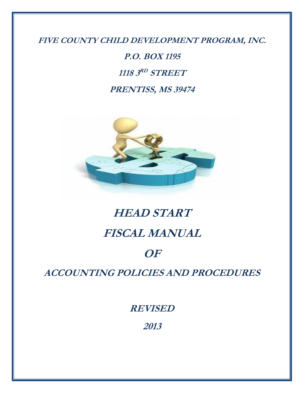**FIVE COUNTY CHILD DEVELOPMENT PROGRAM, INC.**

**P.O. BOX 1195 1118 3 RD STREET PRENTISS, MS 39474**



# **HEAD START**

# **FISCAL MANUAL**

# **OF**

**ACCOUNTING POLICIES AND PROCEDURES**

**REVISED**

**2013**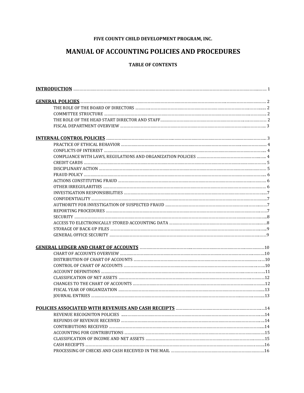## **FIVE COUNTY CHILD DEVELOPMENT PROGRAM, INC.**

## **MANUAL OF ACCOUNTING POLICIES AND PROCEDURES**

#### **TABLE OF CONTENTS**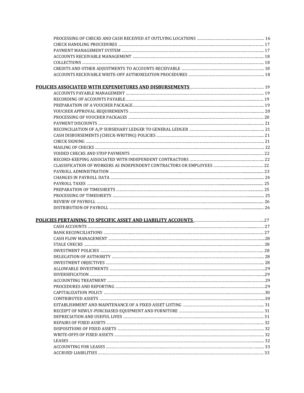| POLICIES PERTAINING TO SPECIFIC ASSET AND LIABILITY ACCOUNTS MARKET MANAGEMENT 27 |  |
|-----------------------------------------------------------------------------------|--|
|                                                                                   |  |
|                                                                                   |  |
|                                                                                   |  |
|                                                                                   |  |
|                                                                                   |  |
|                                                                                   |  |
|                                                                                   |  |
|                                                                                   |  |
|                                                                                   |  |
|                                                                                   |  |
|                                                                                   |  |
|                                                                                   |  |
|                                                                                   |  |
|                                                                                   |  |
|                                                                                   |  |
|                                                                                   |  |
|                                                                                   |  |
|                                                                                   |  |
|                                                                                   |  |
|                                                                                   |  |
|                                                                                   |  |
|                                                                                   |  |
|                                                                                   |  |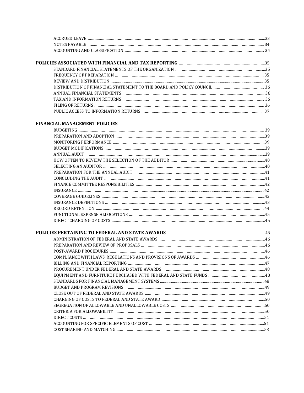## **FINANCIAL MANAGEMENT POLICIES**

| PREPARATION FOR THE ANNUAL AUDIT manufacturer and content to the form of the state of the state of the state o |  |
|----------------------------------------------------------------------------------------------------------------|--|
|                                                                                                                |  |
|                                                                                                                |  |
|                                                                                                                |  |
|                                                                                                                |  |
|                                                                                                                |  |
|                                                                                                                |  |
|                                                                                                                |  |
|                                                                                                                |  |
|                                                                                                                |  |
|                                                                                                                |  |
|                                                                                                                |  |
|                                                                                                                |  |
|                                                                                                                |  |
|                                                                                                                |  |
|                                                                                                                |  |
|                                                                                                                |  |
|                                                                                                                |  |
|                                                                                                                |  |
|                                                                                                                |  |
|                                                                                                                |  |
|                                                                                                                |  |
|                                                                                                                |  |
|                                                                                                                |  |
|                                                                                                                |  |
|                                                                                                                |  |
|                                                                                                                |  |
|                                                                                                                |  |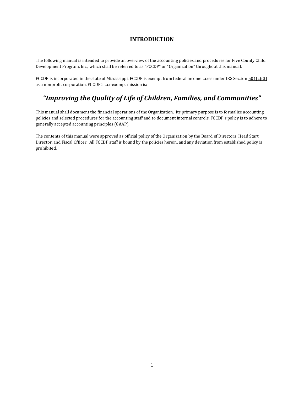## **INTRODUCTION**

The following manual is intended to provide an overview of the accounting policies and procedures for Five County Child Development Program, Inc., which shall be referred to as "FCCDP" or "Organization" throughout this manual.

FCCDP is incorporated in the state of Mississippi. FCCDP is exempt from federal income taxes under IRS Section  $501(c)(3)$ as a nonprofit corporation. FCCDP's tax-exempt mission is:

## *"Improving the Quality of Life of Children, Families, and Communities"*

This manual shall document the financial operations of the Organization. Its primary purpose is to formalize accounting policies and selected procedures for the accounting staff and to document internal controls. FCCDP's policy is to adhere to generally accepted accounting principles (GAAP).

The contents of this manual were approved as official policy of the Organization by the Board of Directors, Head Start Director, and Fiscal Officer. All FCCDP staff is bound by the policies herein, and any deviation from established policy is prohibited.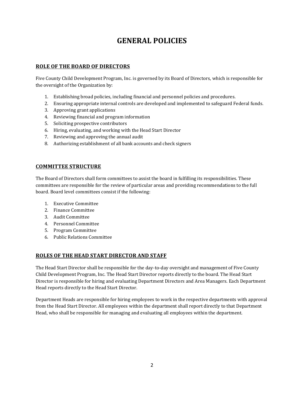## **GENERAL POLICIES**

## **ROLE OF THE BOARD OF DIRECTORS**

Five County Child Development Program, Inc. is governed by its Board of Directors, which is responsible for the oversight of the Organization by:

- 1. Establishing broad policies, including financial and personnel policies and procedures.
- 2. Ensuring appropriate internal controls are developed and implemented to safeguard Federal funds.
- 3. Approving grant applications
- 4. Reviewing financial and program information
- 5. Soliciting prospective contributors
- 6. Hiring, evaluating, and working with the Head Start Director
- 7. Reviewing and approving the annual audit
- 8. Authorizing establishment of all bank accounts and check signers

## **COMMITTEE STRUCTURE**

The Board of Directors shall form committees to assist the board in fulfilling its responsibilities. These committees are responsible for the review of particular areas and providing recommendations to the full board. Board level committees consist if the following:

- 1. Executive Committee
- 2. Finance Committee
- 3. Audit Committee
- 4. Personnel Committee
- 5. Program Committee
- 6. Public Relations Committee

#### **ROLES OF THE HEAD START DIRECTOR AND STAFF**

The Head Start Director shall be responsible for the day-to-day oversight and management of Five County Child Development Program, Inc. The Head Start Director reports directly to the board. The Head Start Director is responsible for hiring and evaluating Department Directors and Area Managers. Each Department Head reports directly to the Head Start Director.

Department Heads are responsible for hiring employees to work in the respective departments with approval from the Head Start Director. All employees within the department shall report directly to that Department Head, who shall be responsible for managing and evaluating all employees within the department.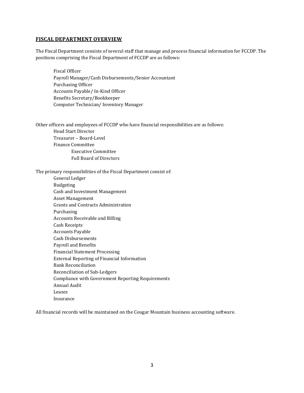#### **FISCAL DEPARTMENT OVERVIEW**

The Fiscal Department consists of several staff that manage and process financial information for FCCDP. The positions comprising the Fiscal Department of FCCDP are as follows:

Fiscal Officer Payroll Manager/Cash Disbursements/Senior Accountant Purchasing Officer Accounts Payable/ In-Kind Officer Benefits Secretary/Bookkeeper Computer Technician/ Inventory Manager

Other officers and employees of FCCDP who have financial responsibilities are as follows:

Head Start Director Treasurer – Board-Level Finance Committee Executive Committee Full Board of Directors

#### The primary responsibilities of the Fiscal Department consist of:

General Ledger Budgeting Cash and Investment Management Asset Management Grants and Contracts Administration Purchasing Accounts Receivable and Billing Cash Receipts Accounts Payable Cash Disbursements Payroll and Benefits Financial Statement Processing External Reporting of Financial Information Bank Reconciliation Reconciliation of Sub-Ledgers Compliance with Government Reporting Requirements Annual Audit Leases Insurance

All financial records will be maintained on the Cougar Mountain business accounting software.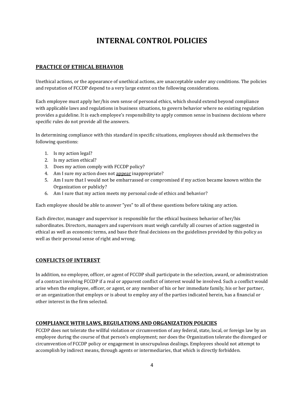## **INTERNAL CONTROL POLICIES**

## **PRACTICE OF ETHICAL BEHAVIOR**

Unethical actions, or the appearance of unethical actions, are unacceptable under any conditions. The policies and reputation of FCCDP depend to a very large extent on the following considerations.

Each employee must apply her/his own sense of personal ethics, which should extend beyond compliance with applicable laws and regulations in business situations, to govern behavior where no existing regulation provides a guideline. It is each employee's responsibility to apply common sense in business decisions where specific rules do not provide all the answers.

In determining compliance with this standard in specific situations, employees should ask themselves the following questions:

- 1. Is my action legal?
- 2. Is my action ethical?
- 3. Does my action comply with FCCDP policy?
- 4. Am I sure my action does not appear inappropriate?
- 5. Am I sure that I would not be embarrassed or compromised if my action became known within the Organization or publicly?
- 6. Am I sure that my action meets my personal code of ethics and behavior?

Each employee should be able to answer "yes" to all of these questions before taking any action.

Each director, manager and supervisor is responsible for the ethical business behavior of her/his subordinates. Directors, managers and supervisors must weigh carefully all courses of action suggested in ethical as well as economic terms, and base their final decisions on the guidelines provided by this policy as well as their personal sense of right and wrong.

#### **CONFLICTS OF INTEREST**

In addition, no employee, officer, or agent of FCCDP shall participate in the selection, award, or administration of a contract involving FCCDP if a real or apparent conflict of interest would be involved. Such a conflict would arise when the employee, officer, or agent, or any member of his or her immediate family, his or her partner, or an organization that employs or is about to employ any of the parties indicated herein, has a financial or other interest in the firm selected.

#### **COMPLIANCE WITH LAWS, REGULATIONS AND ORGANIZATION POLICIES**

FCCDP does not tolerate the willful violation or circumvention of any federal, state, local, or foreign law by an employee during the course of that person's employment; nor does the Organization tolerate the disregard or circumvention of FCCDP policy or engagement in unscrupulous dealings. Employees should not attempt to accomplish by indirect means, through agents or intermediaries, that which is directly forbidden.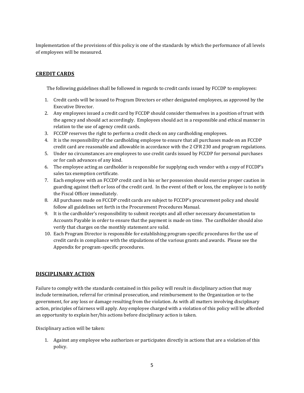Implementation of the provisions of this policy is one of the standards by which the performance of all levels of employees will be measured.

## **CREDIT CARDS**

The following guidelines shall be followed in regards to credit cards issued by FCCDP to employees:

- 1. Credit cards will be issued to Program Directors or other designated employees, as approved by the Executive Director.
- 2. Any employees issued a credit card by FCCDP should consider themselves in a position of trust with the agency and should act accordingly. Employees should act in a responsible and ethical manner in relation to the use of agency credit cards.
- 3. FCCDP reserves the right to perform a credit check on any cardholding employees.
- 4. It is the responsibility of the cardholding employee to ensure that all purchases made on an FCCDP credit card are reasonable and allowable in accordance with the 2 CFR 230 and program regulations.
- 5. Under no circumstances are employees to use credit cards issued by FCCDP for personal purchases or for cash advances of any kind.
- 6. The employee acting as cardholder is responsible for supplying each vendor with a copy of FCCDP's sales tax exemption certificate.
- 7. Each employee with an FCCDP credit card in his or her possession should exercise proper caution in guarding against theft or loss of the credit card. In the event of theft or loss, the employee is to notify the Fiscal Officer immediately.
- 8. All purchases made on FCCDP credit cards are subject to FCCDP's procurement policy and should follow all guidelines set forth in the Procurement Procedures Manual.
- 9. It is the cardholder's responsibility to submit receipts and all other necessary documentation to Accounts Payable in order to ensure that the payment is made on time. The cardholder should also verify that charges on the monthly statement are valid.
- 10. Each Program Director is responsible for establishing program-specific procedures for the use of credit cards in compliance with the stipulations of the various grants and awards. Please see the Appendix for program-specific procedures.

#### **DISCIPLINARY ACTION**

Failure to comply with the standards contained in this policy will result in disciplinary action that may include termination, referral for criminal prosecution, and reimbursement to the Organization or to the government, for any loss or damage resulting from the violation. As with all matters involving disciplinary action, principles of fairness will apply. Any employee charged with a violation of this policy will be afforded an opportunity to explain her/his actions before disciplinary action is taken.

Disciplinary action will be taken:

1. Against any employee who authorizes or participates directly in actions that are a violation of this policy.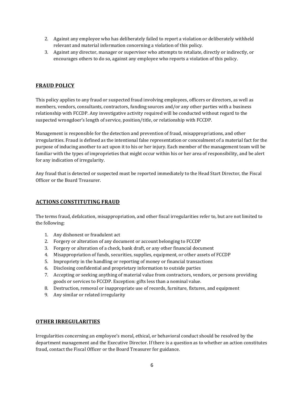- 2. Against any employee who has deliberately failed to report a violation or deliberately withheld relevant and material information concerning a violation of this policy.
- 3. Against any director, manager or supervisor who attempts to retaliate, directly or indirectly, or encourages others to do so, against any employee who reports a violation of this policy.

## **FRAUD POLICY**

This policy applies to any fraud or suspected fraud involving employees, officers or directors, as well as members, vendors, consultants, contractors, funding sources and/or any other parties with a business relationship with FCCDP. Any investigative activity required will be conducted without regard to the suspected wrongdoer's length of service, position/title, or relationship with FCCDP.

Management is responsible for the detection and prevention of fraud, misappropriations, and other irregularities. Fraud is defined as the intentional false representation or concealment of a material fact for the purpose of inducing another to act upon it to his or her injury. Each member of the management team will be familiar with the types of improprieties that might occur within his or her area of responsibility, and be alert for any indication of irregularity.

Any fraud that is detected or suspected must be reported immediately to the Head Start Director, the Fiscal Officer or the Board Treasurer.

#### **ACTIONS CONSTITUTING FRAUD**

The terms fraud, defalcation, misappropriation, and other fiscal irregularities refer to, but are not limited to the following:

- 1. Any dishonest or fraudulent act
- 2. Forgery or alteration of any document or account belonging to FCCDP
- 3. Forgery or alteration of a check, bank draft, or any other financial document
- 4. Misappropriation of funds, securities, supplies, equipment, or other assets of FCCDP
- 5. Impropriety in the handling or reporting of money or financial transactions
- 6. Disclosing confidential and proprietary information to outside parties
- 7. Accepting or seeking anything of material value from contractors, vendors, or persons providing goods or services to FCCDP. Exception: gifts less than a nominal value.
- 8. Destruction, removal or inappropriate use of records, furniture, fixtures, and equipment
- 9. Any similar or related irregularity

#### **OTHER IRREGULARITIES**

Irregularities concerning an employee's moral, ethical, or behavioral conduct should be resolved by the department management and the Executive Director. If there is a question as to whether an action constitutes fraud, contact the Fiscal Officer or the Board Treasurer for guidance.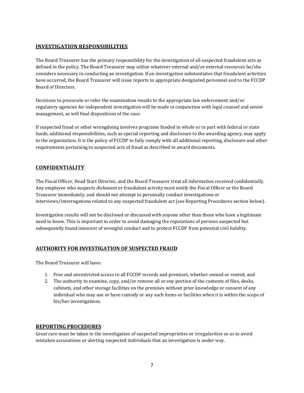## **INVESTIGATION RESPONSIBILITIES**

The Board Treasurer has the primary responsibility for the investigation of all suspected fraudulent acts as defined in the policy. The Board Treasurer may utilize whatever internal and/or external resources he/she considers necessary in conducting an investigation. If an investigation substantiates that fraudulent activities have occurred, the Board Treasurer will issue reports to appropriate designated personnel and to the FCCDP Board of Directors.

Decisions to prosecute or refer the examination results to the appropriate law enforcement and/or regulatory agencies for independent investigation will be made in conjunction with legal counsel and senior management, as will final dispositions of the case.

If suspected fraud or other wrongdoing involves programs funded in whole or in part with federal or state funds, additional responsibilities, such as special reporting and disclosure to the awarding agency, may apply to the organization. It is the policy of FCCDP to fully comply with all additional reporting, disclosure and other requirements pertaining to suspected acts of fraud as described in award documents.

## **CONFIDENTIALITY**

The Fiscal Officer, Head Start Director, and the Board Treasurer treat all information received confidentially. Any employee who suspects dishonest or fraudulent activity must notify the Fiscal Officer or the Board Treasurer immediately, and should not attempt to personally conduct investigations or interviews/interrogations related to any suspected fraudulent act (see Reporting Procedures section below).

Investigation results will not be disclosed or discussed with anyone other than those who have a legitimate need to know. This is important in order to avoid damaging the reputations of persons suspected but subsequently found innocent of wrongful conduct and to protect FCCDP from potential civil liability.

#### **AUTHORITY FOR INVESTIGATION OF SUSPECTED FRAUD**

The Board Treasurer will have:

- 1. Free and unrestricted access to all FCCDP records and premises, whether owned or rented; and
- 2. The authority to examine, copy, and/or remove all or any portion of the contents of files, desks, cabinets, and other storage facilities on the premises without prior knowledge or consent of any individual who may use or have custody or any such items or facilities when it is within the scope of his/her investigations.

#### **REPORTING PROCEDURES**

Great care must be taken in the investigation of suspected improprieties or irregularities so as to avoid mistaken accusations or alerting suspected individuals that an investigation is under way.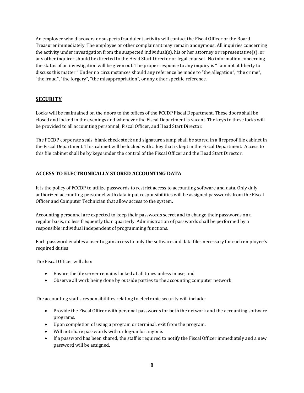An employee who discovers or suspects fraudulent activity will contact the Fiscal Officer or the Board Treasurer immediately. The employee or other complainant may remain anonymous. All inquiries concerning the activity under investigation from the suspected individual(s), his or her attorney or representative(s), or any other inquirer should be directed to the Head Start Director or legal counsel. No information concerning the status of an investigation will be given out. The proper response to any inquiry is "I am not at liberty to discuss this matter." Under no circumstances should any reference be made to "the allegation", "the crime", "the fraud", "the forgery", "the misappropriation", or any other specific reference.

## **SECURITY**

Locks will be maintained on the doors to the offices of the FCCDP Fiscal Department. These doors shall be closed and locked in the evenings and whenever the Fiscal Department is vacant. The keys to these locks will be provided to all accounting personnel, Fiscal Officer, and Head Start Director.

The FCCDP corporate seals, blank check stock and signature stamp shall be stored in a fireproof file cabinet in the Fiscal Department. This cabinet will be locked with a key that is kept in the Fiscal Department. Access to this file cabinet shall be by keys under the control of the Fiscal Officer and the Head Start Director.

## **ACCESS TO ELECTRONICALLY STORED ACCOUNTING DATA**

It is the policy of FCCDP to utilize passwords to restrict access to accounting software and data. Only duly authorized accounting personnel with data input responsibilities will be assigned passwords from the Fiscal Officer and Computer Technician that allow access to the system.

Accounting personnel are expected to keep their passwords secret and to change their passwords on a regular basis, no less frequently than quarterly. Administration of passwords shall be performed by a responsible individual independent of programming functions.

Each password enables a user to gain access to only the software and data files necessary for each employee's required duties.

The Fiscal Officer will also:

- Ensure the file server remains locked at all times unless in use, and
- Observe all work being done by outside parties to the accounting computer network.

The accounting staff's responsibilities relating to electronic security will include:

- Provide the Fiscal Officer with personal passwords for both the network and the accounting software programs.
- Upon completion of using a program or terminal, exit from the program.
- Will not share passwords with or log-on for anyone.
- If a password has been shared, the staff is required to notify the Fiscal Officer immediately and a new password will be assigned.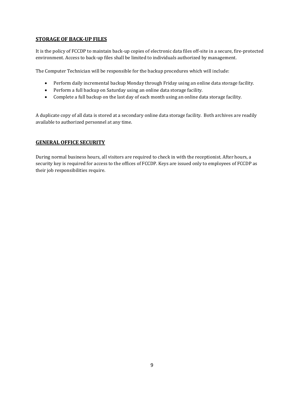## **STORAGE OF BACK-UP FILES**

It is the policy of FCCDP to maintain back-up copies of electronic data files off-site in a secure, fire-protected environment. Access to back-up files shall be limited to individuals authorized by management.

The Computer Technician will be responsible for the backup procedures which will include:

- Perform daily incremental backup Monday through Friday using an online data storage facility.
- Perform a full backup on Saturday using an online data storage facility.
- Complete a full backup on the last day of each month using an online data storage facility.

A duplicate copy of all data is stored at a secondary online data storage facility. Both archives are readily available to authorized personnel at any time.

#### **GENERAL OFFICE SECURITY**

During normal business hours, all visitors are required to check in with the receptionist. After hours, a security key is required for access to the offices of FCCDP. Keys are issued only to employees of FCCDP as their job responsibilities require.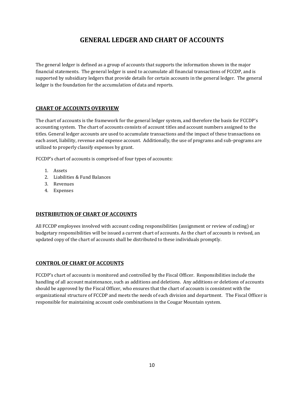## **GENERAL LEDGER AND CHART OF ACCOUNTS**

The general ledger is defined as a group of accounts that supports the information shown in the major financial statements. The general ledger is used to accumulate all financial transactions of FCCDP, and is supported by subsidiary ledgers that provide details for certain accounts in the general ledger. The general ledger is the foundation for the accumulation of data and reports.

## **CHART OF ACCOUNTS OVERVIEW**

The chart of accounts is the framework for the general ledger system, and therefore the basis for FCCDP's accounting system. The chart of accounts consists of account titles and account numbers assigned to the titles. General ledger accounts are used to accumulate transactions and the impact of these transactions on each asset, liability, revenue and expense account. Additionally, the use of programs and sub-programs are utilized to properly classify expenses by grant.

FCCDP's chart of accounts is comprised of four types of accounts:

- 1. Assets
- 2. Liabilities & Fund Balances
- 3. Revenues
- 4. Expenses

## **DISTRIBUTION OF CHART OF ACCOUNTS**

All FCCDP employees involved with account coding responsibilities (assignment or review of coding) or budgetary responsibilities will be issued a current chart of accounts. As the chart of accounts is revised, an updated copy of the chart of accounts shall be distributed to these individuals promptly.

#### **CONTROL OF CHART OF ACCOUNTS**

FCCDP's chart of accounts is monitored and controlled by the Fiscal Officer. Responsibilities include the handling of all account maintenance, such as additions and deletions. Any additions or deletions of accounts should be approved by the Fiscal Officer, who ensures that the chart of accounts is consistent with the organizational structure of FCCDP and meets the needs of each division and department. The Fiscal Officer is responsible for maintaining account code combinations in the Cougar Mountain system.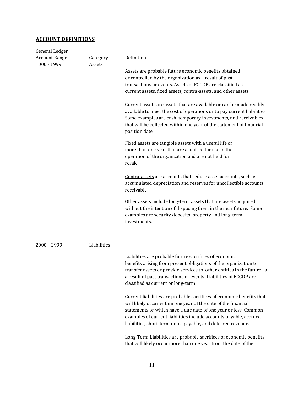## **ACCOUNT DEFINITIONS**

| General Ledger       |                 |                                                                                                                                                                                                                                                                                                                                                                                                                                                                                                                                           |
|----------------------|-----------------|-------------------------------------------------------------------------------------------------------------------------------------------------------------------------------------------------------------------------------------------------------------------------------------------------------------------------------------------------------------------------------------------------------------------------------------------------------------------------------------------------------------------------------------------|
| <b>Account Range</b> | <u>Category</u> | Definition                                                                                                                                                                                                                                                                                                                                                                                                                                                                                                                                |
| 1000 - 1999          | Assets          | Assets are probable future economic benefits obtained<br>or controlled by the organization as a result of past<br>transactions or events. Assets of FCCDP are classified as<br>current assets, fixed assets, contra-assets, and other assets.<br>Current assets are assets that are available or can be made readily<br>available to meet the cost of operations or to pay current liabilities.<br>Some examples are cash, temporary investments, and receivables<br>that will be collected within one year of the statement of financial |
|                      |                 | position date.                                                                                                                                                                                                                                                                                                                                                                                                                                                                                                                            |
|                      |                 | Fixed assets are tangible assets with a useful life of<br>more than one year that are acquired for use in the<br>operation of the organization and are not held for<br>resale.                                                                                                                                                                                                                                                                                                                                                            |
|                      |                 | Contra-assets are accounts that reduce asset accounts, such as<br>accumulated depreciation and reserves for uncollectible accounts<br>receivable                                                                                                                                                                                                                                                                                                                                                                                          |
|                      |                 | Other assets include long-term assets that are assets acquired<br>without the intention of disposing them in the near future. Some<br>examples are security deposits, property and long-term<br>investments.                                                                                                                                                                                                                                                                                                                              |
| $2000 - 2999$        | Liabilities     |                                                                                                                                                                                                                                                                                                                                                                                                                                                                                                                                           |
|                      |                 | Liabilities are probable future sacrifices of economic<br>benefits arising from present obligations of the organization to<br>transfer assets or provide services to other entities in the future as<br>a result of past transactions or events. Liabilities of FCCDP are<br>classified as current or long-term.                                                                                                                                                                                                                          |
|                      |                 | Current liabilities are probable sacrifices of economic benefits that<br>will likely occur within one year of the date of the financial<br>statements or which have a due date of one year or less. Common<br>examples of current liabilities include accounts payable, accrued<br>liabilities, short-term notes payable, and deferred revenue.                                                                                                                                                                                           |
|                      |                 | Long-Term Liabilities are probable sacrifices of economic benefits<br>that will likely occur more than one year from the date of the                                                                                                                                                                                                                                                                                                                                                                                                      |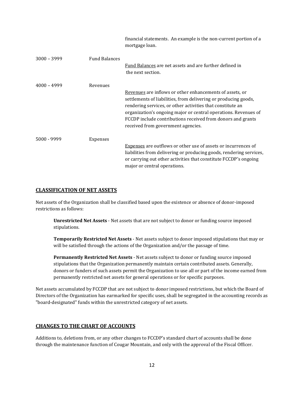|               |                      | financial statements. An example is the non-current portion of a<br>mortgage loan.                                                                                                                                                                                                                                                                                |
|---------------|----------------------|-------------------------------------------------------------------------------------------------------------------------------------------------------------------------------------------------------------------------------------------------------------------------------------------------------------------------------------------------------------------|
| $3000 - 3999$ | <b>Fund Balances</b> | Fund Balances are net assets and are further defined in<br>the next section.                                                                                                                                                                                                                                                                                      |
| $4000 - 4999$ | Revenues             | Revenues are inflows or other enhancements of assets, or<br>settlements of liabilities, from delivering or producing goods,<br>rendering services, or other activities that constitute an<br>organization's ongoing major or central operations. Revenues of<br>FCCDP include contributions received from donors and grants<br>received from government agencies. |
| 5000 - 9999   | Expenses             | <b>Expenses</b> are outflows or other use of assets or incurrences of<br>liabilities from delivering or producing goods, rendering services,<br>or carrying out other activities that constitute FCCDP's ongoing<br>major or central operations.                                                                                                                  |

#### **CLASSIFICATION OF NET ASSETS**

Net assets of the Organization shall be classified based upon the existence or absence of donor-imposed restrictions as follows:

**Unrestricted Net Assets** - Net assets that are not subject to donor or funding source imposed stipulations.

**Temporarily Restricted Net Assets** - Net assets subject to donor imposed stipulations that may or will be satisfied through the actions of the Organization and/or the passage of time.

**Permanently Restricted Net Assets** - Net assets subject to donor or funding source imposed stipulations that the Organization permanently maintain certain contributed assets. Generally, donors or funders of such assets permit the Organization to use all or part of the income earned from permanently restricted net assets for general operations or for specific purposes.

Net assets accumulated by FCCDP that are not subject to donor imposed restrictions, but which the Board of Directors of the Organization has earmarked for specific uses, shall be segregated in the accounting records as "board-designated" funds within the unrestricted category of net assets.

#### **CHANGES TO THE CHART OF ACCOUNTS**

Additions to, deletions from, or any other changes to FCCDP's standard chart of accounts shall be done through the maintenance function of Cougar Mountain, and only with the approval of the Fiscal Officer.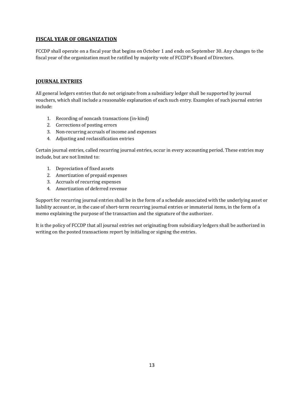## **FISCAL YEAR OF ORGANIZATION**

FCCDP shall operate on a fiscal year that begins on October 1 and ends on September 30. Any changes to the fiscal year of the organization must be ratified by majority vote of FCCDP's Board of Directors.

#### **JOURNAL ENTRIES**

All general ledgers entries that do not originate from a subsidiary ledger shall be supported by journal vouchers, which shall include a reasonable explanation of each such entry. Examples of such journal entries include:

- 1. Recording of noncash transactions (in-kind)
- 2. Corrections of posting errors
- 3. Non-recurring accruals of income and expenses
- 4. Adjusting and reclassification entries

Certain journal entries, called recurring journal entries, occur in every accounting period. These entries may include, but are not limited to:

- 1. Depreciation of fixed assets
- 2. Amortization of prepaid expenses
- 3. Accruals of recurring expenses
- 4. Amortization of deferred revenue

Support for recurring journal entries shall be in the form of a schedule associated with the underlying asset or liability account or, in the case of short-term recurring journal entries or immaterial items, in the form of a memo explaining the purpose of the transaction and the signature of the authorizer.

It is the policy of FCCDP that all journal entries not originating from subsidiary ledgers shall be authorized in writing on the posted transactions report by initialing or signing the entries.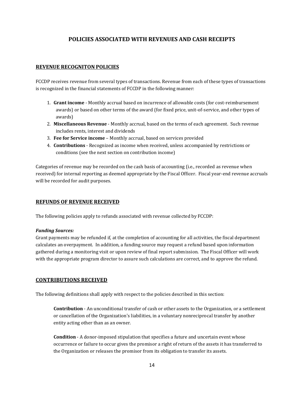## **POLICIES ASSOCIATED WITH REVENUES AND CASH RECEIPTS**

## **REVENUE RECOGNITON POLICIES**

FCCDP receives revenue from several types of transactions. Revenue from each of these types of transactions is recognized in the financial statements of FCCDP in the following manner:

- 1. **Grant income** Monthly accrual based on incurrence of allowable costs (for cost-reimbursement awards) or based on other terms of the award (for fixed price, unit-of-service, and other types of awards)
- 2. **Miscellaneous Revenue** Monthly accrual, based on the terms of each agreement. Such revenue includes rents, interest and dividends
- 3. **Fee for Service income** Monthly accrual, based on services provided
- 4. **Contributions**  Recognized as income when received, unless accompanied by restrictions or conditions (see the next section on contribution income)

Categories of revenue may be recorded on the cash basis of accounting (i.e., recorded as revenue when received) for internal reporting as deemed appropriate by the Fiscal Officer. Fiscal year-end revenue accruals will be recorded for audit purposes.

#### **REFUNDS OF REVENUE RECEIVED**

The following policies apply to refunds associated with revenue collected by FCCDP:

#### *Funding Sources:*

Grant payments may be refunded if, at the completion of accounting for all activities, the fiscal department calculates an overpayment. In addition, a funding source may request a refund based upon information gathered during a monitoring visit or upon review of final report submission. The Fiscal Officer will work with the appropriate program director to assure such calculations are correct, and to approve the refund.

#### **CONTRIBUTIONS RECEIVED**

The following definitions shall apply with respect to the policies described in this section:

**Contribution** - An unconditional transfer of cash or other assets to the Organization, or a settlement or cancellation of the Organization's liabilities, in a voluntary nonreciprocal transfer by another entity acting other than as an owner.

**Condition** - A donor-imposed stipulation that specifies a future and uncertain event whose occurrence or failure to occur gives the promisor a right of return of the assets it has transferred to the Organization or releases the promisor from its obligation to transfer its assets.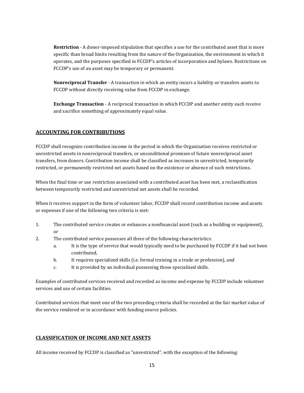**Restriction** - A donor-imposed stipulation that specifies a use for the contributed asset that is more specific than broad limits resulting from the nature of the Organization, the environment in which it operates, and the purposes specified in FCCDP's articles of incorporation and bylaws. Restrictions on FCCDP's use of an asset may be temporary or permanent.

**Nonreciprocal Transfer** - A transaction in which an entity incurs a liability or transfers assets to FCCDP without directly receiving value from FCCDP in exchange.

**Exchange Transaction** - A reciprocal transaction in which FCCDP and another entity each receive and sacrifice something of approximately equal value.

## **ACCOUNTING FOR CONTRIBUTIONS**

FCCDP shall recognize contribution income in the period in which the Organization receives restricted or unrestricted assets in nonreciprocal transfers, or unconditional promises of future nonreciprocal asset transfers, from donors. Contribution income shall be classified as increases in unrestricted, temporarily restricted, or permanently restricted net assets based on the existence or absence of such restrictions.

When the final time or use restriction associated with a contributed asset has been met, a reclassification between temporarily restricted and unrestricted net assets shall be recorded.

When it receives support in the form of volunteer labor, FCCDP shall record contribution income and assets or expenses if one of the following two criteria is met:

- 1. The contributed service creates or enhances a nonfinancial asset (such as a building or equipment), or
- 2. The contributed service possesses all three of the following characteristics:
	- a. It is the type of service that would typically need to be purchased by FCCDP if it had not been contributed,
	- b. It requires specialized skills (i.e. formal training in a trade or profession), and
	- c. It is provided by an individual possessing those specialized skills.

Examples of contributed services received and recorded as income and expense by FCCDP include volunteer services and use of certain facilities.

Contributed services that meet one of the two preceding criteria shall be recorded at the fair market value of the service rendered or in accordance with funding source policies.

## **CLASSIFICATION OF INCOME AND NET ASSETS**

All income received by FCCDP is classified as "unrestricted", with the exception of the following: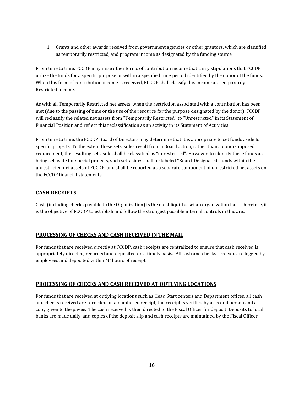1. Grants and other awards received from government agencies or other grantors, which are classified as temporarily restricted, and program income as designated by the funding source.

From time to time, FCCDP may raise other forms of contribution income that carry stipulations that FCCDP utilize the funds for a specific purpose or within a specified time period identified by the donor of the funds. When this form of contribution income is received, FCCDP shall classify this income as Temporarily Restricted income.

As with all Temporarily Restricted net assets, when the restriction associated with a contribution has been met (due to the passing of time or the use of the resource for the purpose designated by the donor), FCCDP will reclassify the related net assets from "Temporarily Restricted" to "Unrestricted" in its Statement of Financial Position and reflect this reclassification as an activity in its Statement of Activities.

From time to time, the FCCDP Board of Directors may determine that it is appropriate to set funds aside for specific projects. To the extent these set-asides result from a Board action, rather than a donor-imposed requirement, the resulting set-aside shall be classified as "unrestricted". However, to identify these funds as being set aside for special projects, such set-asides shall be labeled "Board-Designated" funds within the unrestricted net assets of FCCDP, and shall be reported as a separate component of unrestricted net assets on the FCCDP financial statements.

## **CASH RECEIPTS**

Cash (including checks payable to the Organization) is the most liquid asset an organization has. Therefore, it is the objective of FCCDP to establish and follow the strongest possible internal controls in this area.

## **PROCESSING OF CHECKS AND CASH RECEIVED IN THE MAIL**

For funds that are received directly at FCCDP, cash receipts are centralized to ensure that cash received is appropriately directed, recorded and deposited on a timely basis. All cash and checks received are logged by employees and deposited within 48 hours of receipt.

#### **PROCESSING OF CHECKS AND CASH RECEIVED AT OUTLYING LOCATIONS**

For funds that are received at outlying locations such as Head Start centers and Department offices, all cash and checks received are recorded on a numbered receipt, the receipt is verified by a second person and a copy given to the payee. The cash received is then directed to the Fiscal Officer for deposit. Deposits to local banks are made daily, and copies of the deposit slip and cash receipts are maintained by the Fiscal Officer.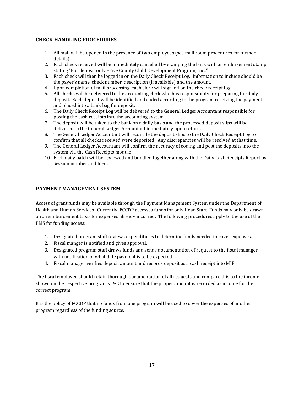## **CHECK HANDLING PROCEDURES**

- 1. All mail will be opened in the presence of **two** employees (see mail room procedures for further details).
- 2. Each check received will be immediately cancelled by stamping the back with an endorsement stamp stating "For deposit only –Five County Child Development Program, Inc.."
- 3. Each check will then be logged in on the Daily Check Receipt Log. Information to include should be the payer's name, check number, description (if available) and the amount.
- 4. Upon completion of mail processing, each clerk will sign-off on the check receipt log.
- 5. All checks will be delivered to the accounting clerk who has responsibility for preparing the daily deposit. Each deposit will be identified and coded according to the program receiving the payment and placed into a bank bag for deposit.
- 6. The Daily Check Receipt Log will be delivered to the General Ledger Accountant responsible for posting the cash receipts into the accounting system.
- 7. The deposit will be taken to the bank on a daily basis and the processed deposit slips will be delivered to the General Ledger Accountant immediately upon return.
- 8. The General Ledger Accountant will reconcile the deposit slips to the Daily Check Receipt Log to confirm that all checks received were deposited. Any discrepancies will be resolved at that time.
- 9. The General Ledger Accountant will confirm the accuracy of coding and post the deposits into the system via the Cash Receipts module.
- 10. Each daily batch will be reviewed and bundled together along with the Daily Cash Receipts Report by Session number and filed.

#### **PAYMENT MANAGEMENT SYSTEM**

Access of grant funds may be available through the Payment Management System under the Department of Health and Human Services. Currently, FCCDP accesses funds for only Head Start. Funds may only be drawn on a reimbursement basis for expenses already incurred. The following procedures apply to the use of the PMS for funding access:

- 1. Designated program staff reviews expenditures to determine funds needed to cover expenses.
- 2. Fiscal manger is notified and gives approval.
- 3. Designated program staff draws funds and sends documentation of request to the fiscal manager, with notification of what date payment is to be expected.
- 4. Fiscal manager verifies deposit amount and records deposit as a cash receipt into MIP.

The fiscal employee should retain thorough documentation of all requests and compare this to the income shown on the respective program's I&E to ensure that the proper amount is recorded as income for the correct program.

It is the policy of FCCDP that no funds from one program will be used to cover the expenses of another program regardless of the funding source.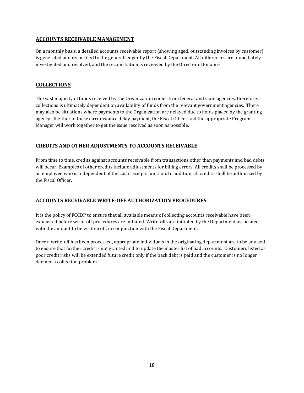### **ACCOUNTS RECEIVABLE MANAGEMENT**

On a monthly basis, a detailed accounts receivable report (showing aged, outstanding invoices by customer) is generated and reconciled to the general ledger by the Fiscal Department. All differences are immediately investigated and resolved, and the reconciliation is reviewed by the Director of Finance.

## **COLLECTIONS**

The vast majority of funds received by the Organization comes from federal and state agencies, therefore, collections is ultimately dependent on availability of funds from the relevant government agencies. There may also be situations where payments to the Organization are delayed due to holds placed by the granting agency. If either of these circumstance delay payment, the Fiscal Officer and the appropriate Program Manager will work together to get the issue resolved as soon as possible.

## **CREDITS AND OTHER ADJUSTMENTS TO ACCOUNTS RECEIVABLE**

From time to time, credits against accounts receivable from transactions other than payments and bad debts will occur. Examples of other credits include adjustments for billing errors. All credits shall be processed by an employee who is independent of the cash receipts function. In addition, all credits shall be authorized by the Fiscal Officer.

## **ACCOUNTS RECEIVABLE WRITE-OFF AUTHORIZATION PROCEDURES**

It is the policy of FCCDP to ensure that all available means of collecting accounts receivable have been exhausted before write-off procedures are initiated. Write-offs are initiated by the Department associated with the amount to be written off, in conjunction with the Fiscal Department.

Once a write-off has been processed, appropriate individuals in the originating department are to be advised to ensure that further credit is not granted and to update the master list of bad accounts. Customers listed as poor credit risks will be extended future credit only if the back debt is paid and the customer is no longer deemed a collection problem.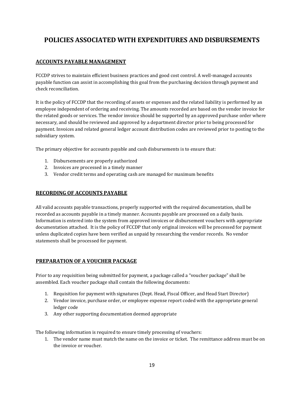## **POLICIES ASSOCIATED WITH EXPENDITURES AND DISBURSEMENTS**

## **ACCOUNTS PAYABLE MANAGEMENT**

FCCDP strives to maintain efficient business practices and good cost control. A well-managed accounts payable function can assist in accomplishing this goal from the purchasing decision through payment and check reconciliation.

It is the policy of FCCDP that the recording of assets or expenses and the related liability is performed by an employee independent of ordering and receiving. The amounts recorded are based on the vendor invoice for the related goods or services. The vendor invoice should be supported by an approved purchase order where necessary, and should be reviewed and approved by a department director prior to being processed for payment. Invoices and related general ledger account distribution codes are reviewed prior to posting to the subsidiary system.

The primary objective for accounts payable and cash disbursements is to ensure that:

- 1. Disbursements are properly authorized
- 2. Invoices are processed in a timely manner
- 3. Vendor credit terms and operating cash are managed for maximum benefits

#### **RECORDING OF ACCOUNTS PAYABLE**

All valid accounts payable transactions, properly supported with the required documentation, shall be recorded as accounts payable in a timely manner. Accounts payable are processed on a daily basis. Information is entered into the system from approved invoices or disbursement vouchers with appropriate documentation attached. It is the policy of FCCDP that only original invoices will be processed for payment unless duplicated copies have been verified as unpaid by researching the vendor records. No vendor statements shall be processed for payment.

#### **PREPARATION OF A VOUCHER PACKAGE**

Prior to any requisition being submitted for payment, a package called a "voucher package" shall be assembled. Each voucher package shall contain the following documents:

- 1. Requisition for payment with signatures (Dept. Head, Fiscal Officer, and Head Start Director)
- 2. Vendor invoice, purchase order, or employee expense report coded with the appropriate general ledger code
- 3. Any other supporting documentation deemed appropriate

The following information is required to ensure timely processing of vouchers:

1. The vendor name must match the name on the invoice or ticket. The remittance address must be on the invoice or voucher.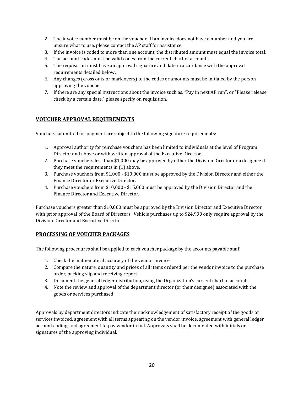- 2. The invoice number must be on the voucher. If an invoice does not have a number and you are unsure what to use, please contact the AP staff for assistance.
- 3. If the invoice is coded to more than one account, the distributed amount must equal the invoice total.
- 4. The account codes must be valid codes from the current chart of accounts.
- 5. The requisition must have an approval signature and date in accordance with the approval requirements detailed below.
- 6. Any changes (cross outs or mark overs) to the codes or amounts must be initialed by the person approving the voucher.
- 7. If there are any special instructions about the invoice such as, "Pay in next AP run", or "Please release check by a certain date," please specify on requisition.

## **VOUCHER APPROVAL REQUIREMENTS**

Vouchers submitted for payment are subject to the following signature requirements:

- 1. Approval authority for purchase vouchers has been limited to individuals at the level of Program Director and above or with written approval of the Executive Director.
- 2. Purchase vouchers less than \$1,000 may be approved by either the Division Director or a designee if they meet the requirements in (1) above.
- 3. Purchase vouchers from \$1,000 \$10,000 must be approved by the Division Director and either the Finance Director or Executive Director.
- 4. Purchase vouchers from \$10,000 \$15,000 must be approved by the Division Director and the Finance Director and Executive Director.

Purchase vouchers greater than \$10,000 must be approved by the Division Director and Executive Director with prior approval of the Board of Directors. Vehicle purchases up to \$24,999 only require approval by the Division Director and Executive Director.

## **PROCESSING OF VOUCHER PACKAGES**

The following procedures shall be applied to each voucher package by the accounts payable staff:

- 1. Check the mathematical accuracy of the vendor invoice.
- 2. Compare the nature, quantity and prices of all items ordered per the vendor invoice to the purchase order, packing slip and receiving report
- 3. Document the general ledger distribution, using the Organization's current chart of accounts
- 4. Note the review and approval of the department director (or their designee) associated with the goods or services purchased

Approvals by department directors indicate their acknowledgement of satisfactory receipt of the goods or services invoiced, agreement with all terms appearing on the vendor invoice, agreement with general ledger account coding, and agreement to pay vendor in full. Approvals shall be documented with initials or signatures of the approving individual.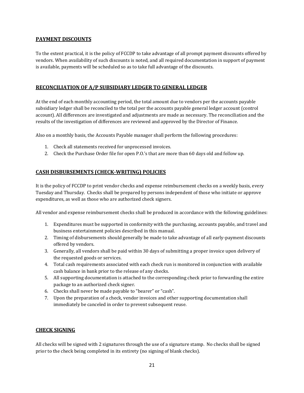### **PAYMENT DISCOUNTS**

To the extent practical, it is the policy of FCCDP to take advantage of all prompt payment discounts offered by vendors. When availability of such discounts is noted, and all required documentation in support of payment is available, payments will be scheduled so as to take full advantage of the discounts.

## **RECONCILIATION OF A/P SUBSIDIARY LEDGER TO GENERAL LEDGER**

At the end of each monthly accounting period, the total amount due to vendors per the accounts payable subsidiary ledger shall be reconciled to the total per the accounts payable general ledger account (control account). All differences are investigated and adjustments are made as necessary. The reconciliation and the results of the investigation of differences are reviewed and approved by the Director of Finance.

Also on a monthly basis, the Accounts Payable manager shall perform the following procedures:

- 1. Check all statements received for unprocessed invoices.
- 2. Check the Purchase Order file for open P.O.'s that are more than 60 days old and follow up.

## **CASH DISBURSEMENTS (CHECK-WRITING) POLICIES**

It is the policy of FCCDP to print vendor checks and expense reimbursement checks on a weekly basis, every Tuesday and Thursday. Checks shall be prepared by persons independent of those who initiate or approve expenditures, as well as those who are authorized check signers.

All vendor and expense reimbursement checks shall be produced in accordance with the following guidelines:

- 1. Expenditures must be supported in conformity with the purchasing, accounts payable, and travel and business entertainment policies described in this manual.
- 2. Timing of disbursements should generally be made to take advantage of all early-payment discounts offered by vendors.
- 3. Generally, all vendors shall be paid within 30 days of submitting a proper invoice upon delivery of the requested goods or services.
- 4. Total cash requirements associated with each check run is monitored in conjunction with available cash balance in bank prior to the release of any checks.
- 5. All supporting documentation is attached to the corresponding check prior to forwarding the entire package to an authorized check signer.
- 6. Checks shall never be made payable to "bearer" or "cash".
- 7. Upon the preparation of a check, vendor invoices and other supporting documentation shall immediately be canceled in order to prevent subsequent reuse.

#### **CHECK SIGNING**

All checks will be signed with 2 signatures through the use of a signature stamp. No checks shall be signed prior to the check being completed in its entirety (no signing of blank checks).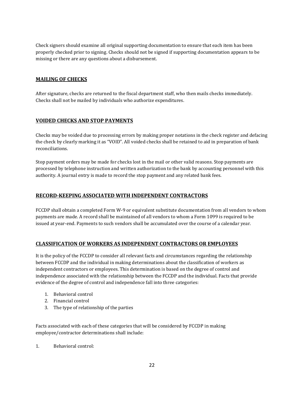Check signers should examine all original supporting documentation to ensure that each item has been properly checked prior to signing. Checks should not be signed if supporting documentation appears to be missing or there are any questions about a disbursement.

## **MAILING OF CHECKS**

After signature, checks are returned to the fiscal department staff, who then mails checks immediately. Checks shall not be mailed by individuals who authorize expenditures.

## **VOIDED CHECKS AND STOP PAYMENTS**

Checks may be voided due to processing errors by making proper notations in the check register and defacing the check by clearly marking it as "VOID". All voided checks shall be retained to aid in preparation of bank reconciliations.

Stop payment orders may be made for checks lost in the mail or other valid reasons. Stop payments are processed by telephone instruction and written authorization to the bank by accounting personnel with this authority. A journal entry is made to record the stop payment and any related bank fees.

#### **RECORD-KEEPING ASSOCIATED WITH INDEPENDENT CONTRACTORS**

FCCDP shall obtain a completed Form W-9 or equivalent substitute documentation from all vendors to whom payments are made. A record shall be maintained of all vendors to whom a Form 1099 is required to be issued at year-end. Payments to such vendors shall be accumulated over the course of a calendar year.

#### **CLASSIFICATION OF WORKERS AS INDEPENDENT CONTRACTORS OR EMPLOYEES**

It is the policy of the FCCDP to consider all relevant facts and circumstances regarding the relationship between FCCDP and the individual in making determinations about the classification of workers as independent contractors or employees. This determination is based on the degree of control and independence associated with the relationship between the FCCDP and the individual. Facts that provide evidence of the degree of control and independence fall into three categories:

- 1. Behavioral control
- 2. Financial control
- 3. The type of relationship of the parties

Facts associated with each of these categories that will be considered by FCCDP in making employee/contractor determinations shall include:

1. Behavioral control: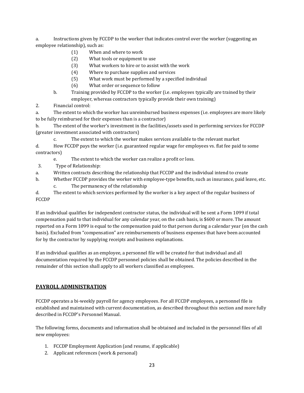a. Instructions given by FCCDP to the worker that indicates control over the worker (suggesting an employee relationship), such as:

- (1) When and where to work
- (2) What tools or equipment to use
- (3) What workers to hire or to assist with the work
- (4) Where to purchase supplies and services
- (5) What work must be performed by a specified individual
- (6) What order or sequence to follow
- b. Training provided by FCCDP to the worker (i.e. employees typically are trained by their employer, whereas contractors typically provide their own training)
- 2. Financial control:

a. The extent to which the worker has unreimbursed business expenses (i.e. employees are more likely to be fully reimbursed for their expenses than is a contractor)

b. The extent of the worker's investment in the facilities/assets used in performing services for FCCDP (greater investment associated with contractors)

c. The extent to which the worker makes services available to the relevant market d. How FCCDP pays the worker (i.e. guaranteed regular wage for employees vs. flat fee paid to some contractors)

- e. The extent to which the worker can realize a profit or loss.
- 3. Type of Relationship:
- a. Written contracts describing the relationship that FCCDP and the individual intend to create
- b. Whether FCCDP provides the worker with employee-type benefits, such as insurance, paid leave, etc. c. The permanency of the relationship

d. The extent to which services performed by the worker is a key aspect of the regular business of FCCDP

If an individual qualifies for independent contractor status, the individual will be sent a Form 1099 if total compensation paid to that individual for any calendar year, on the cash basis, is \$600 or more. The amount reported on a Form 1099 is equal to the compensation paid to that person during a calendar year (on the cash basis). Excluded from "compensation" are reimbursements of business expenses that have been accounted for by the contractor by supplying receipts and business explanations.

If an individual qualifies as an employee, a personnel file will be created for that individual and all documentation required by the FCCDP personnel policies shall be obtained. The policies described in the remainder of this section shall apply to all workers classified as employees.

## **PAYROLL ADMINISTRATION**

FCCDP operates a bi-weekly payroll for agency employees. For all FCCDP employees, a personnel file is established and maintained with current documentation, as described throughout this section and more fully described in FCCDP's Personnel Manual.

The following forms, documents and information shall be obtained and included in the personnel files of all new employees:

- 1. FCCDP Employment Application (and resume, if applicable)
- 2. Applicant references (work & personal)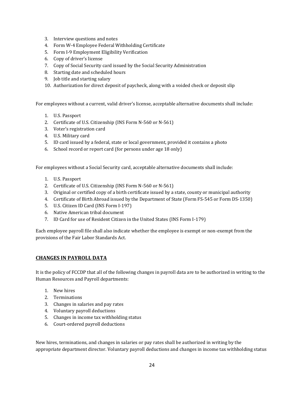- 3. Interview questions and notes
- 4. Form W-4 Employee Federal Withholding Certificate
- 5. Form I-9 Employment Eligibility Verification
- 6. Copy of driver's license
- 7. Copy of Social Security card issued by the Social Security Administration
- 8. Starting date and scheduled hours
- 9. Job title and starting salary
- 10. Authorization for direct deposit of paycheck, along with a voided check or deposit slip

For employees without a current, valid driver's license, acceptable alternative documents shall include:

- 1. U.S. Passport
- 2. Certificate of U.S. Citizenship (INS Form N-560 or N-561)
- 3. Voter's registration card
- 4. U.S. Military card
- 5. ID card issued by a federal, state or local government, provided it contains a photo
- 6. School record or report card (for persons under age 18 only)

For employees without a Social Security card, acceptable alternative documents shall include:

- 1. U.S. Passport
- 2. Certificate of U.S. Citizenship (INS Form N-560 or N-561)
- 3. Original or certified copy of a birth certificate issued by a state, county or municipal authority
- 4. Certificate of Birth Abroad issued by the Department of State (Form FS-545 or Form DS-1350)
- 5. U.S. Citizen ID Card (INS Form I-197)
- 6. Native American tribal document
- 7. ID Card for use of Resident Citizen in the United States (INS Form I-179)

Each employee payroll file shall also indicate whether the employee is exempt or non-exempt from the provisions of the Fair Labor Standards Act.

#### **CHANGES IN PAYROLL DATA**

It is the policy of FCCDP that all of the following changes in payroll data are to be authorized in writing to the Human Resources and Payroll departments:

- 1. New hires
- 2. Terminations
- 3. Changes in salaries and pay rates
- 4. Voluntary payroll deductions
- 5. Changes in income tax withholding status
- 6. Court-ordered payroll deductions

New hires, terminations, and changes in salaries or pay rates shall be authorized in writing by the appropriate department director. Voluntary payroll deductions and changes in income tax withholding status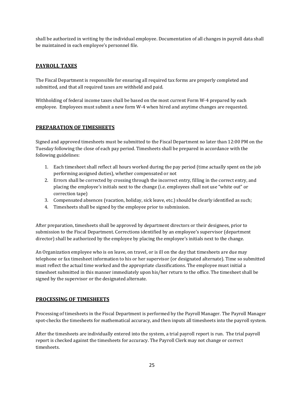shall be authorized in writing by the individual employee. Documentation of all changes in payroll data shall be maintained in each employee's personnel file.

## **PAYROLL TAXES**

The Fiscal Department is responsible for ensuring all required tax forms are properly completed and submitted, and that all required taxes are withheld and paid.

Withholding of federal income taxes shall be based on the most current Form W-4 prepared by each employee. Employees must submit a new form W-4 when hired and anytime changes are requested.

## **PREPARATION OF TIMESHEETS**

Signed and approved timesheets must be submitted to the Fiscal Department no later than 12:00 PM on the Tuesday following the close of each pay period. Timesheets shall be prepared in accordance with the following guidelines:

- 1. Each timesheet shall reflect all hours worked during the pay period (time actually spent on the job performing assigned duties), whether compensated or not
- 2. Errors shall be corrected by crossing through the incorrect entry, filling in the correct entry, and placing the employee's initials next to the change (i.e. employees shall not use "white out" or correction tape)
- 3. Compensated absences (vacation, holiday, sick leave, etc.) should be clearly identified as such;
- 4. Timesheets shall be signed by the employee prior to submission.

After preparation, timesheets shall be approved by department directors or their designees, prior to submission to the Fiscal Department. Corrections identified by an employee's supervisor (department director) shall be authorized by the employee by placing the employee's initials next to the change.

An Organization employee who is on leave, on travel, or is ill on the day that timesheets are due may telephone or fax timesheet information to his or her supervisor (or designated alternate). Time so submitted must reflect the actual time worked and the appropriate classifications. The employee must initial a timesheet submitted in this manner immediately upon his/her return to the office. The timesheet shall be signed by the supervisor or the designated alternate.

## **PROCESSING OF TIMESHEETS**

Processing of timesheets in the Fiscal Department is performed by the Payroll Manager. The Payroll Manager spot-checks the timesheets for mathematical accuracy, and then inputs all timesheets into the payroll system.

After the timesheets are individually entered into the system, a trial payroll report is run. The trial payroll report is checked against the timesheets for accuracy. The Payroll Clerk may not change or correct timesheets.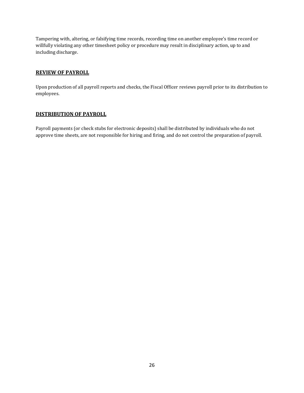Tampering with, altering, or falsifying time records, recording time on another employee's time record or willfully violating any other timesheet policy or procedure may result in disciplinary action, up to and including discharge.

#### **REVIEW OF PAYROLL**

Upon production of all payroll reports and checks, the Fiscal Officer reviews payroll prior to its distribution to employees.

#### **DISTRIBUTION OF PAYROLL**

Payroll payments (or check stubs for electronic deposits) shall be distributed by individuals who do not approve time sheets, are not responsible for hiring and firing, and do not control the preparation of payroll.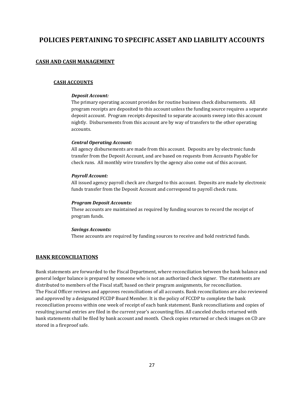## **POLICIES PERTAINING TO SPECIFIC ASSET AND LIABILITY ACCOUNTS**

## **CASH AND CASH MANAGEMENT**

#### **CASH ACCOUNTS**

#### *Deposit Account:*

The primary operating account provides for routine business check disbursements. All program receipts are deposited to this account unless the funding source requires a separate deposit account. Program receipts deposited to separate accounts sweep into this account nightly. Disbursements from this account are by way of transfers to the other operating accounts.

#### *Central Operating Account:*

All agency disbursements are made from this account. Deposits are by electronic funds transfer from the Deposit Account, and are based on requests from Accounts Payable for check runs. All monthly wire transfers by the agency also come out of this account.

#### *Payroll Account:*

All issued agency payroll check are charged to this account. Deposits are made by electronic funds transfer from the Deposit Account and correspond to payroll check runs.

#### *Program Deposit Accounts:*

These accounts are maintained as required by funding sources to record the receipt of program funds.

#### *Savings Accounts:*

These accounts are required by funding sources to receive and hold restricted funds.

#### **BANK RECONCILIATIONS**

Bank statements are forwarded to the Fiscal Department, where reconciliation between the bank balance and general ledger balance is prepared by someone who is not an authorized check signer. The statements are distributed to members of the Fiscal staff, based on their program assignments, for reconciliation. The Fiscal Officer reviews and approves reconciliations of all accounts. Bank reconciliations are also reviewed and approved by a designated FCCDP Board Member. It is the policy of FCCDP to complete the bank reconciliation process within one week of receipt of each bank statement. Bank reconciliations and copies of resulting journal entries are filed in the current year's accounting files. All canceled checks returned with bank statements shall be filed by bank account and month. Check copies returned or check images on CD are stored in a fireproof safe.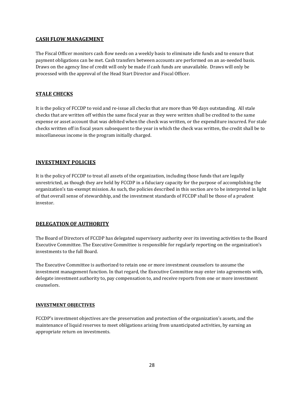## **CASH FLOW MANAGEMENT**

The Fiscal Officer monitors cash flow needs on a weekly basis to eliminate idle funds and to ensure that payment obligations can be met. Cash transfers between accounts are performed on an as-needed basis. Draws on the agency line of credit will only be made if cash funds are unavailable. Draws will only be processed with the approval of the Head Start Director and Fiscal Officer.

## **STALE CHECKS**

It is the policy of FCCDP to void and re-issue all checks that are more than 90 days outstanding. All stale checks that are written off within the same fiscal year as they were written shall be credited to the same expense or asset account that was debited when the check was written, or the expenditure incurred. For stale checks written off in fiscal years subsequent to the year in which the check was written, the credit shall be to miscellaneous income in the program initially charged.

## **INVESTMENT POLICIES**

It is the policy of FCCDP to treat all assets of the organization, including those funds that are legally unrestricted, as though they are held by FCCDP in a fiduciary capacity for the purpose of accomplishing the organization's tax-exempt mission. As such, the policies described in this section are to be interpreted in light of that overall sense of stewardship, and the investment standards of FCCDP shall be those of a prudent investor.

## **DELEGATION OF AUTHORITY**

The Board of Directors of FCCDP has delegated supervisory authority over its investing activities to the Board Executive Committee. The Executive Committee is responsible for regularly reporting on the organization's investments to the full Board.

The Executive Committee is authorized to retain one or more investment counselors to assume the investment management function. In that regard, the Executive Committee may enter into agreements with, delegate investment authority to, pay compensation to, and receive reports from one or more investment counselors.

#### **INVESTMENT OBJECTIVES**

FCCDP's investment objectives are the preservation and protection of the organization's assets, and the maintenance of liquid reserves to meet obligations arising from unanticipated activities, by earning an appropriate return on investments.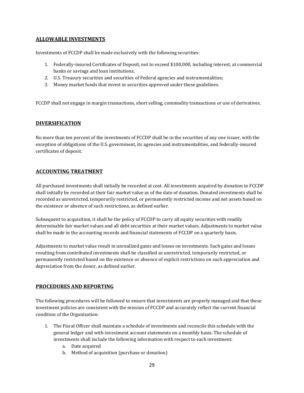## **ALLOWABLE INVESTMENTS**

Investments of FCCDP shall be made exclusively with the following securities:

- 1. Federally-insured Certificates of Deposit, not to exceed \$100,000, including interest, at commercial banks or savings and loan institutions;
- 2. U.S. Treasury securities and securities of Federal agencies and instrumentalities;
- 3. Money market funds that invest in securities approved under these guidelines.

FCCDP shall not engage in margin transactions, short selling, commodity transactions or use of derivatives.

#### **DIVERSIFICATION**

No more than ten percent of the investments of FCCDP shall be in the securities of any one issuer, with the exception of obligations of the U.S. government, its agencies and instrumentalities, and federally-insured certificates of deposit.

#### **ACCOUNTING TREATMENT**

All purchased investments shall initially be recorded at cost. All investments acquired by donation to FCCDP shall initially be recorded at their fair market value as of the date of donation. Donated investments shall be recorded as unrestricted, temporarily restricted, or permanently restricted income and net assets based on the existence or absence of such restrictions, as defined earlier.

Subsequent to acquisition, it shall be the policy of FCCDP to carry all equity securities with readily determinable fair market values and all debt securities at their market values. Adjustments to market value shall be made in the accounting records and financial statements of FCCDP on a quarterly basis.

Adjustments to market value result in unrealized gains and losses on investments. Such gains and losses resulting from contributed investments shall be classified as unrestricted, temporarily restricted, or permanently restricted based on the existence or absence of explicit restrictions on such appreciation and depreciation from the donor, as defined earlier.

#### **PROCEDURES AND REPORTING**

The following procedures will be followed to ensure that investments are properly managed and that these investment policies are consistent with the mission of FCCDP and accurately reflect the current financial condition of the Organization:

- 1. The Fiscal Officer shall maintain a schedule of investments and reconcile this schedule with the general ledger and with investment account statements on a monthly basis. The schedule of investments shall include the following information with respect to each investment:
	- a. Date acquired
	- b. Method of acquisition (purchase or donation)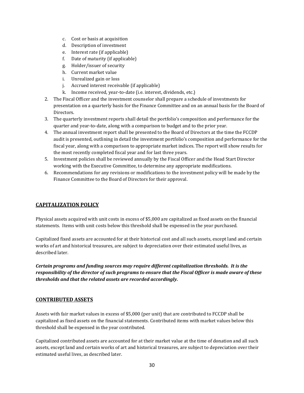- c. Cost or basis at acquisition
- d. Description of investment
- e. Interest rate (if applicable)
- f. Date of maturity (if applicable)
- g. Holder/issuer of security
- h. Current market value
- i. Unrealized gain or loss
- j. Accrued interest receivable (if applicable)
- k. Income received, year-to-date (i.e. interest, dividends, etc.)
- 2. The Fiscal Officer and the investment counselor shall prepare a schedule of investments for presentation on a quarterly basis for the Finance Committee and on an annual basis for the Board of Directors.
- 3. The quarterly investment reports shall detail the portfolio's composition and performance for the quarter and year-to-date, along with a comparison to budget and to the prior year.
- 4. The annual investment report shall be presented to the Board of Directors at the time the FCCDP audit is presented, outlining in detail the investment portfolio's composition and performance for the fiscal year, along with a comparison to appropriate market indices. The report will show results for the most recently completed fiscal year and for last three years.
- 5. Investment policies shall be reviewed annually by the Fiscal Officer and the Head Start Director working with the Executive Committee, to determine any appropriate modifications.
- 6. Recommendations for any revisions or modifications to the investment policy will be made by the Finance Committee to the Board of Directors for their approval.

#### **CAPITALIZATION POLICY**

Physical assets acquired with unit costs in excess of \$5,000 are capitalized as fixed assets on the financial statements. Items with unit costs below this threshold shall be expensed in the year purchased.

Capitalized fixed assets are accounted for at their historical cost and all such assets, except land and certain works of art and historical treasures, are subject to depreciation over their estimated useful lives, as described later.

*Certain programs and funding sources may require different capitalization thresholds. It is the responsibility of the director of such programs to ensure that the Fiscal Officer is made aware of these thresholds and that the related assets are recorded accordingly.*

#### **CONTRIBUTED ASSETS**

Assets with fair market values in excess of \$5,000 (per unit) that are contributed to FCCDP shall be capitalized as fixed assets on the financial statements. Contributed items with market values below this threshold shall be expensed in the year contributed.

Capitalized contributed assets are accounted for at their market value at the time of donation and all such assets, except land and certain works of art and historical treasures, are subject to depreciation over their estimated useful lives, as described later.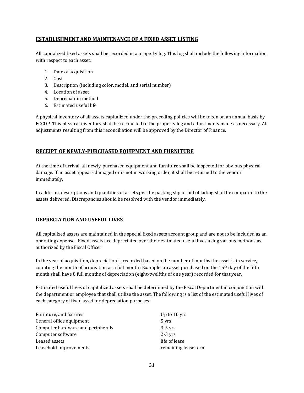## **ESTABLISHMENT AND MAINTENANCE OF A FIXED ASSET LISTING**

All capitalized fixed assets shall be recorded in a property log. This log shall include the following information with respect to each asset:

- 1. Date of acquisition
- 2. Cost
- 3. Description (including color, model, and serial number)
- 4. Location of asset
- 5. Depreciation method
- 6. Estimated useful life

A physical inventory of all assets capitalized under the preceding policies will be taken on an annual basis by FCCDP. This physical inventory shall be reconciled to the property log and adjustments made as necessary. All adjustments resulting from this reconciliation will be approved by the Director of Finance.

#### **RECEIPT OF NEWLY-PURCHASED EQUIPMENT AND FURNITURE**

At the time of arrival, all newly-purchased equipment and furniture shall be inspected for obvious physical damage. If an asset appears damaged or is not in working order, it shall be returned to the vendor immediately.

In addition, descriptions and quantities of assets per the packing slip or bill of lading shall be compared to the assets delivered. Discrepancies should be resolved with the vendor immediately.

#### **DEPRECIATION AND USEFUL LIVES**

All capitalized assets are maintained in the special fixed assets account group and are not to be included as an operating expense. Fixed assets are depreciated over their estimated useful lives using various methods as authorized by the Fiscal Officer.

In the year of acquisition, depreciation is recorded based on the number of months the asset is in service, counting the month of acquisition as a full month (Example: an asset purchased on the  $15<sup>th</sup>$  day of the fifth month shall have 8 full months of depreciation (eight-twelfths of one year) recorded for that year.

Estimated useful lives of capitalized assets shall be determined by the Fiscal Department in conjunction with the department or employee that shall utilize the asset. The following is a list of the estimated useful lives of each category of fixed asset for depreciation purposes:

| Furniture, and fixtures           | Up to 10 yrs         |
|-----------------------------------|----------------------|
| General office equipment          | 5 yrs                |
| Computer hardware and peripherals | $3-5$ yrs            |
| Computer software                 | $2-3$ yrs            |
| Leased assets                     | life of lease        |
| Leasehold Improvements            | remaining lease term |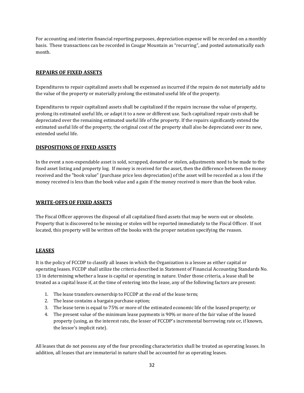For accounting and interim financial reporting purposes, depreciation expense will be recorded on a monthly basis. These transactions can be recorded in Cougar Mountain as "recurring", and posted automatically each month.

### **REPAIRS OF FIXED ASSETS**

Expenditures to repair capitalized assets shall be expensed as incurred if the repairs do not materially add to the value of the property or materially prolong the estimated useful life of the property.

Expenditures to repair capitalized assets shall be capitalized if the repairs increase the value of property, prolong its estimated useful life, or adapt it to a new or different use. Such capitalized repair costs shall be depreciated over the remaining estimated useful life of the property. If the repairs significantly extend the estimated useful life of the property, the original cost of the property shall also be depreciated over its new, extended useful life.

## **DISPOSITIONS OF FIXED ASSETS**

In the event a non-expendable asset is sold, scrapped, donated or stolen, adjustments need to be made to the fixed asset listing and property log. If money is received for the asset, then the difference between the money received and the "book value" (purchase price less depreciation) of the asset will be recorded as a loss if the money received is less than the book value and a gain if the money received is more than the book value.

#### **WRITE-OFFS OF FIXED ASSETS**

The Fiscal Officer approves the disposal of all capitalized fixed assets that may be worn-out or obsolete. Property that is discovered to be missing or stolen will be reported immediately to the Fiscal Officer. If not located, this property will be written off the books with the proper notation specifying the reason.

#### **LEASES**

It is the policy of FCCDP to classify all leases in which the Organization is a lessee as either capital or operating leases. FCCDP shall utilize the criteria described in Statement of Financial Accounting Standards No. 13 in determining whether a lease is capital or operating in nature. Under those criteria, a lease shall be treated as a capital lease if, at the time of entering into the lease, any of the following factors are present:

- 1. The lease transfers ownership to FCCDP at the end of the lease term;
- 2. The lease contains a bargain purchase option;
- 3. The lease term is equal to 75% or more of the estimated economic life of the leased property; or
- 4. The present value of the minimum lease payments is 90% or more of the fair value of the leased property (using, as the interest rate, the lesser of FCCDP's incremental borrowing rate or, if known, the lessor's implicit rate).

All leases that do not possess any of the four preceding characteristics shall be treated as operating leases. In addition, all leases that are immaterial in nature shall be accounted for as operating leases.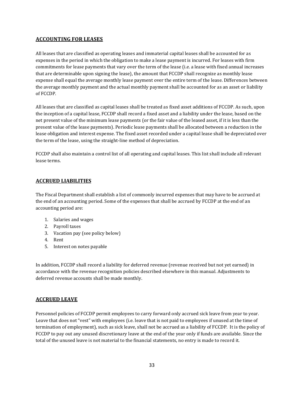## **ACCOUNTING FOR LEASES**

All leases that are classified as operating leases and immaterial capital leases shall be accounted for as expenses in the period in which the obligation to make a lease payment is incurred. For leases with firm commitments for lease payments that vary over the term of the lease (i.e. a lease with fixed annual increases that are determinable upon signing the lease), the amount that FCCDP shall recognize as monthly lease expense shall equal the average monthly lease payment over the entire term of the lease. Differences between the average monthly payment and the actual monthly payment shall be accounted for as an asset or liability of FCCDP.

All leases that are classified as capital leases shall be treated as fixed asset additions of FCCDP. As such, upon the inception of a capital lease, FCCDP shall record a fixed asset and a liability under the lease, based on the net present value of the minimum lease payments (or the fair value of the leased asset, if it is less than the present value of the lease payments). Periodic lease payments shall be allocated between a reduction in the lease obligation and interest expense. The fixed asset recorded under a capital lease shall be depreciated over the term of the lease, using the straight-line method of depreciation.

FCCDP shall also maintain a control list of all operating and capital leases. This list shall include all relevant lease terms.

#### **ACCRUED LIABILITIES**

The Fiscal Department shall establish a list of commonly incurred expenses that may have to be accrued at the end of an accounting period. Some of the expenses that shall be accrued by FCCDP at the end of an accounting period are:

- 1. Salaries and wages
- 2. Payroll taxes
- 3. Vacation pay (see policy below)
- 4. Rent
- 5. Interest on notes payable

In addition, FCCDP shall record a liability for deferred revenue (revenue received but not yet earned) in accordance with the revenue recognition policies described elsewhere in this manual. Adjustments to deferred revenue accounts shall be made monthly.

## **ACCRUED LEAVE**

Personnel policies of FCCDP permit employees to carry forward only accrued sick leave from year to year. Leave that does not "vest" with employees (i.e. leave that is not paid to employees if unused at the time of termination of employment), such as sick leave, shall not be accrued as a liability of FCCDP. It is the policy of FCCDP to pay out any unused discretionary leave at the end of the year only if funds are available. Since the total of the unused leave is not material to the financial statements, no entry is made to record it.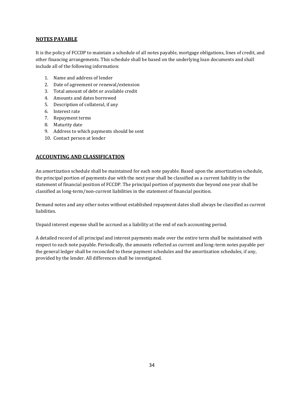#### **NOTES PAYABLE**

It is the policy of FCCDP to maintain a schedule of all notes payable, mortgage obligations, lines of credit, and other financing arrangements. This schedule shall be based on the underlying loan documents and shall include all of the following information:

- 1. Name and address of lender
- 2. Date of agreement or renewal/extension
- 3. Total amount of debt or available credit
- 4. Amounts and dates borrowed
- 5. Description of collateral, if any
- 6. Interest rate
- 7. Repayment terms
- 8. Maturity date
- 9. Address to which payments should be sent
- 10. Contact person at lender

## **ACCOUNTING AND CLASSIFICATION**

An amortization schedule shall be maintained for each note payable. Based upon the amortization schedule, the principal portion of payments due with the next year shall be classified as a current liability in the statement of financial position of FCCDP. The principal portion of payments due beyond one year shall be classified as long-term/non-current liabilities in the statement of financial position.

Demand notes and any other notes without established repayment dates shall always be classified as current liabilities.

Unpaid interest expense shall be accrued as a liability at the end of each accounting period.

A detailed record of all principal and interest payments made over the entire term shall be maintained with respect to each note payable. Periodically, the amounts reflected as current and long-term notes payable per the general ledger shall be reconciled to these payment schedules and the amortization schedules, if any, provided by the lender. All differences shall be investigated.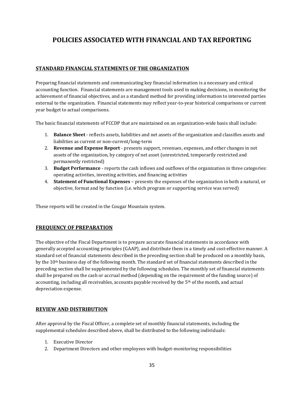## **POLICIES ASSOCIATED WITH FINANCIAL AND TAX REPORTING**

## **STANDARD FINANCIAL STATEMENTS OF THE ORGANIZATION**

Preparing financial statements and communicating key financial information is a necessary and critical accounting function. Financial statements are management tools used in making decisions, in monitoring the achievement of financial objectives, and as a standard method for providing information to interested parties external to the organization. Financial statements may reflect year-to-year historical comparisons or current year budget to actual comparisons.

The basic financial statements of FCCDP that are maintained on an organization-wide basis shall include:

- 1. **Balance Sheet** reflects assets, liabilities and net assets of the organization and classifies assets and liabilities as current or non-current/long-term
- 2. **Revenue and Expense Report** presents support, revenues, expenses, and other changes in net assets of the organization, by category of net asset (unrestricted, temporarily restricted and permanently restricted)
- 3. **Budget Performance** reports the cash inflows and outflows of the organization in three categories: operating activities, investing activities, and financing activities
- 4. **Statement of Functional Expenses** presents the expenses of the organization in both a natural, or objective, format and by function (i.e. which program or supporting service was served)

These reports will be created in the Cougar Mountain system.

#### **FREQUENCY OF PREPARATION**

The objective of the Fiscal Department is to prepare accurate financial statements in accordance with generally accepted accounting principles (GAAP), and distribute them in a timely and cost-effective manner. A standard set of financial statements described in the preceding section shall be produced on a monthly basis, by the 10th business day of the following month. The standard set of financial statements described in the preceding section shall be supplemented by the following schedules. The monthly set of financial statements shall be prepared on the cash or accrual method (depending on the requirement of the funding source) of accounting, including all receivables, accounts payable received by the  $5<sup>th</sup>$  of the month, and actual depreciation expense.

#### **REVIEW AND DISTRIBUTION**

After approval by the Fiscal Officer, a complete set of monthly financial statements, including the supplemental schedules described above, shall be distributed to the following individuals:

- 1. Executive Director
- 2. Department Directors and other employees with budget-monitoring responsibilities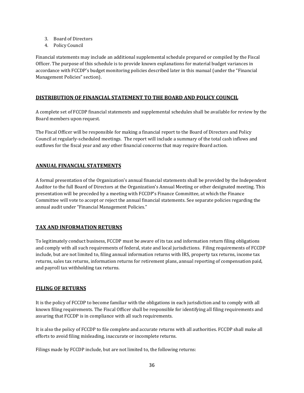- 3. Board of Directors
- 4. Policy Council

Financial statements may include an additional supplemental schedule prepared or compiled by the Fiscal Officer. The purpose of this schedule is to provide known explanations for material budget variances in accordance with FCCDP's budget monitoring policies described later in this manual (under the "Financial Management Policies" section).

#### **DISTRIBUTION OF FINANCIAL STATEMENT TO THE BOARD AND POLICY COUNCIL**

A complete set of FCCDP financial statements and supplemental schedules shall be available for review by the Board members upon request.

The Fiscal Officer will be responsible for making a financial report to the Board of Directors and Policy Council at regularly-scheduled meetings. The report will include a summary of the total cash inflows and outflows for the fiscal year and any other financial concerns that may require Board action.

#### **ANNUAL FINANCIAL STATEMENTS**

A formal presentation of the Organization's annual financial statements shall be provided by the Independent Auditor to the full Board of Directors at the Organization's Annual Meeting or other designated meeting. This presentation will be preceded by a meeting with FCCDP's Finance Committee, at which the Finance Committee will vote to accept or reject the annual financial statements. See separate policies regarding the annual audit under "Financial Management Policies."

#### **TAX AND INFORMATION RETURNS**

To legitimately conduct business, FCCDP must be aware of its tax and information return filing obligations and comply with all such requirements of federal, state and local jurisdictions. Filing requirements of FCCDP include, but are not limited to, filing annual information returns with IRS, property tax returns, income tax returns, sales tax returns, information returns for retirement plans, annual reporting of compensation paid, and payroll tax withholding tax returns.

#### **FILING OF RETURNS**

It is the policy of FCCDP to become familiar with the obligations in each jurisdiction and to comply with all known filing requirements. The Fiscal Officer shall be responsible for identifying all filing requirements and assuring that FCCDP is in compliance with all such requirements.

It is also the policy of FCCDP to file complete and accurate returns with all authorities. FCCDP shall make all efforts to avoid filing misleading, inaccurate or incomplete returns.

Filings made by FCCDP include, but are not limited to, the following returns: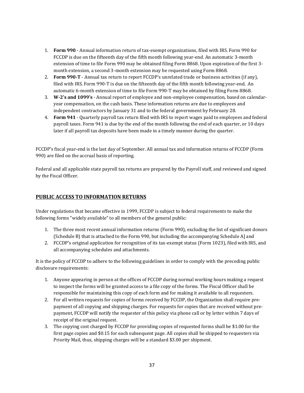- 1. **Form 990** Annual information return of tax-exempt organizations, filed with IRS. Form 990 for FCCDP is due on the fifteenth day of the fifth month following year-end. An automatic 3-month extension of time to file Form 990 may be obtained filing Form 8868. Upon expiration of the first 3 month extension, a second 3-month extension may be requested using Form 8868.
- 2. **Form 990-T** Annual tax return to report FCCDP's unrelated trade or business activities (if any), filed with IRS. Form 990-T is due on the fifteenth day of the fifth month following year-end. An automatic 6-month extension of time to file Form 990-T may be obtained by filing Form 8868.
- 3. **W-2's and 1099's** Annual report of employee and non-employee compensation, based on calendaryear compensation, on the cash basis. These information returns are due to employees and independent contractors by January 31 and to the federal government by February 28.
- 4. **Form 941** Quarterly payroll tax return filed with IRS to report wages paid to employees and federal payroll taxes. Form 941 is due by the end of the month following the end of each quarter, or 10 days later if all payroll tax deposits have been made in a timely manner during the quarter.

FCCDP's fiscal year-end is the last day of September. All annual tax and information returns of FCCDP (Form 990) are filed on the accrual basis of reporting.

Federal and all applicable state payroll tax returns are prepared by the Payroll staff, and reviewed and signed by the Fiscal Officer.

## **PUBLIC ACCESS TO INFORMATION RETURNS**

Under regulations that became effective in 1999, FCCDP is subject to federal requirements to make the following forms "widely available" to all members of the general public:

- 1. The three most recent annual information returns (Form 990), excluding the list of significant donors (Schedule B) that is attached to the Form 990, but including the accompanying Schedule A] and
- 2. FCCDP's original application for recognition of its tax-exempt status (Form 1023), filed with IRS, and all accompanying schedules and attachments.

It is the policy of FCCDP to adhere to the following guidelines in order to comply with the preceding public disclosure requirements:

- 1. Anyone appearing in person at the offices of FCCDP during normal working hours making a request to inspect the forms will be granted access to a file copy of the forms. The Fiscal Officer shall be responsible for maintaining this copy of each form and for making it available to all requesters.
- 2. For all written requests for copies of forms received by FCCDP, the Organization shall require prepayment of all copying and shipping charges. For requests for copies that are received without prepayment, FCCDP will notify the requester of this policy via phone call or by letter within 7 days of receipt of the original request.
- 3. The copying cost charged by FCCDP for providing copies of requested forms shall be \$1.00 for the first page copies and \$0.15 for each subsequent page. All copies shall be shipped to requesters via Priority Mail, thus, shipping charges will be a standard \$3.00 per shipment.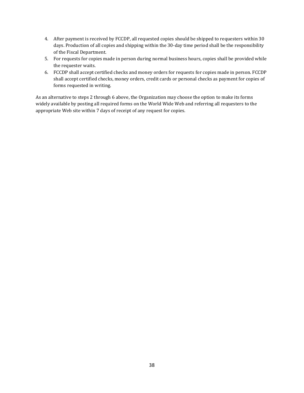- 4. After payment is received by FCCDP, all requested copies should be shipped to requesters within 30 days. Production of all copies and shipping within the 30-day time period shall be the responsibility of the Fiscal Department.
- 5. For requests for copies made in person during normal business hours, copies shall be provided while the requester waits.
- 6. FCCDP shall accept certified checks and money orders for requests for copies made in person. FCCDP shall accept certified checks, money orders, credit cards or personal checks as payment for copies of forms requested in writing.

As an alternative to steps 2 through 6 above, the Organization may choose the option to make its forms widely available by posting all required forms on the World Wide Web and referring all requesters to the appropriate Web site within 7 days of receipt of any request for copies.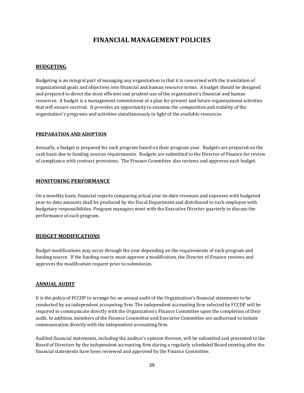## **FINANCIAL MANAGEMENT POLICIES**

#### **BUDGETING**

Budgeting is an integral part of managing any organization in that it is concerned with the translation of organizational goals and objectives into financial and human resource terms. A budget should be designed and prepared to direct the most efficient and prudent use of the organization's financial and human resources. A budget is a management commitment of a plan for present and future organizational activities that will ensure survival. It provides an opportunity to examine the composition and viability of the organization's programs and activities simultaneously in light of the available resources.

#### **PREPARATION AND ADOPTION**

Annually, a budget is prepared for each program based on their program year. Budgets are prepared on the cash basis due to funding sources requirements. Budgets are submitted to the Director of Finance for review of compliance with contract provisions. The Finance Committee also reviews and approves each budget.

#### **MONITORING PERFORMANCE**

On a monthly basis, financial reports comparing actual year-to-date revenues and expenses with budgeted year-to-date amounts shall be produced by the Fiscal Department and distributed to each employee with budgetary responsibilities. Program managers meet with the Executive Director quarterly to discuss the performance of each program.

#### **BUDGET MODIFICATIONS**

Budget modifications may occur through the year depending on the requirements of each program and funding source. If the funding source must approve a modification, the Director of Finance reviews and approves the modification request prior to submission.

#### **ANNUAL AUDIT**

It is the policy of FCCDP to arrange for an annual audit of the Organization's financial statements to be conducted by an independent accounting firm. The independent accounting firm selected by FCCDP will be required to communicate directly with the Organization's Finance Committee upon the completion of their audit. In addition, members of the Finance Committee and Executive Committee are authorized to initiate communication directly with the independent accounting firm.

Audited financial statements, including the auditor's opinion thereon, will be submitted and presented to the Board of Directors by the independent accounting firm during a regularly scheduled Board meeting after the financial statements have been reviewed and approved by the Finance Committee.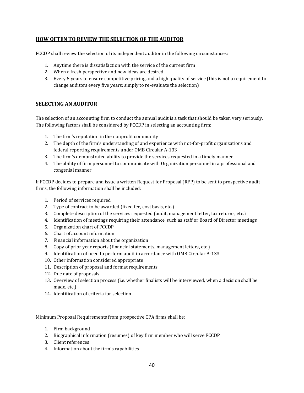## **HOW OFTEN TO REVIEW THE SELECTION OF THE AUDITOR**

FCCDP shall review the selection of its independent auditor in the following circumstances:

- 1. Anytime there is dissatisfaction with the service of the current firm
- 2. When a fresh perspective and new ideas are desired
- 3. Every 5 years to ensure competitive pricing and a high quality of service (this is not a requirement to change auditors every five years; simply to re-evaluate the selection)

## **SELECTING AN AUDITOR**

The selection of an accounting firm to conduct the annual audit is a task that should be taken very seriously. The following factors shall be considered by FCCDP in selecting an accounting firm:

- 1. The firm's reputation in the nonprofit community
- 2. The depth of the firm's understanding of and experience with not-for-profit organizations and federal reporting requirements under OMB Circular A-133
- 3. The firm's demonstrated ability to provide the services requested in a timely manner
- 4. The ability of firm personnel to communicate with Organization personnel in a professional and congenial manner

If FCCDP decides to prepare and issue a written Request for Proposal (RFP) to be sent to prospective audit firms, the following information shall be included:

- 1. Period of services required
- 2. Type of contract to be awarded (fixed fee, cost basis, etc.)
- 3. Complete description of the services requested (audit, management letter, tax returns, etc.)
- 4. Identification of meetings requiring their attendance, such as staff or Board of Director meetings
- 5. Organization chart of FCCDP
- 6. Chart of account information
- 7. Financial information about the organization
- 8. Copy of prior year reports (financial statements, management letters, etc.)
- 9. Identification of need to perform audit in accordance with OMB Circular A-133
- 10. Other information considered appropriate
- 11. Description of proposal and format requirements
- 12. Due date of proposals
- 13. Overview of selection process (i.e. whether finalists will be interviewed, when a decision shall be made, etc.)
- 14. Identification of criteria for selection

Minimum Proposal Requirements from prospective CPA firms shall be:

- 1. Firm background
- 2. Biographical information (resumes) of key firm member who will serve FCCDP
- 3. Client references
- 4. Information about the firm's capabilities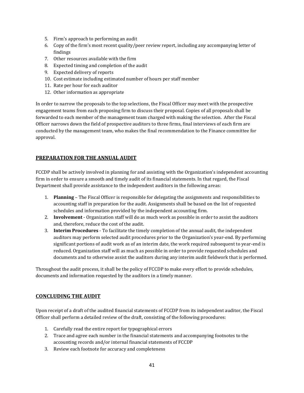- 5. Firm's approach to performing an audit
- 6. Copy of the firm's most recent quality/peer review report, including any accompanying letter of findings
- 7. Other resources available with the firm
- 8. Expected timing and completion of the audit
- 9. Expected delivery of reports
- 10. Cost estimate including estimated number of hours per staff member
- 11. Rate per hour for each auditor
- 12. Other information as appropriate

In order to narrow the proposals to the top selections, the Fiscal Officer may meet with the prospective engagement teams from each proposing firm to discuss their proposal. Copies of all proposals shall be forwarded to each member of the management team charged with making the selection. After the Fiscal Officer narrows down the field of prospective auditors to three firms, final interviews of each firm are conducted by the management team, who makes the final recommendation to the Finance committee for approval.

## **PREPARATION FOR THE ANNUAL AUDIT**

FCCDP shall be actively involved in planning for and assisting with the Organization's independent accounting firm in order to ensure a smooth and timely audit of its financial statements. In that regard, the Fiscal Department shall provide assistance to the independent auditors in the following areas:

- 1. **Planning** The Fiscal Officer is responsible for delegating the assignments and responsibilities to accounting staff in preparation for the audit. Assignments shall be based on the list of requested schedules and information provided by the independent accounting firm.
- 2. **Involvement** Organization staff will do as much work as possible in order to assist the auditors and, therefore, reduce the cost of the audit.
- 3. **Interim Procedures** To facilitate the timely completion of the annual audit, the independent auditors may perform selected audit procedures prior to the Organization's year-end. By performing significant portions of audit work as of an interim date, the work required subsequent to year-end is reduced. Organization staff will as much as possible in order to provide requested schedules and documents and to otherwise assist the auditors during any interim audit fieldwork that is performed.

Throughout the audit process, it shall be the policy of FCCDP to make every effort to provide schedules, documents and information requested by the auditors in a timely manner.

#### **CONCLUDING THE AUDIT**

Upon receipt of a draft of the audited financial statements of FCCDP from its independent auditor, the Fiscal Officer shall perform a detailed review of the draft, consisting of the following procedures:

- 1. Carefully read the entire report for typographical errors
- 2. Trace and agree each number in the financial statements and accompanying footnotes to the accounting records and/or internal financial statements of FCCDP
- 3. Review each footnote for accuracy and completeness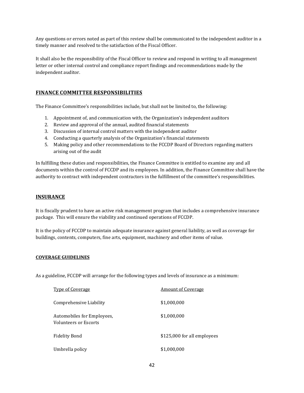Any questions or errors noted as part of this review shall be communicated to the independent auditor in a timely manner and resolved to the satisfaction of the Fiscal Officer.

It shall also be the responsibility of the Fiscal Officer to review and respond in writing to all management letter or other internal control and compliance report findings and recommendations made by the independent auditor.

## **FINANCE COMMITTEE RESPONSIBILITIES**

The Finance Committee's responsibilities include, but shall not be limited to, the following:

- 1. Appointment of, and communication with, the Organization's independent auditors
- 2. Review and approval of the annual, audited financial statements
- 3. Discussion of internal control matters with the independent auditor
- 4. Conducting a quarterly analysis of the Organization's financial statements
- 5. Making policy and other recommendations to the FCCDP Board of Directors regarding matters arising out of the audit

In fulfilling these duties and responsibilities, the Finance Committee is entitled to examine any and all documents within the control of FCCDP and its employees. In addition, the Finance Committee shall have the authority to contract with independent contractors in the fulfillment of the committee's responsibilities.

#### **INSURANCE**

It is fiscally prudent to have an active risk management program that includes a comprehensive insurance package. This will ensure the viability and continued operations of FCCDP.

It is the policy of FCCDP to maintain adequate insurance against general liability, as well as coverage for buildings, contents, computers, fine arts, equipment, machinery and other items of value.

#### **COVERAGE GUIDELINES**

As a guideline, FCCDP will arrange for the following types and levels of insurance as a minimum:

| <b>Type of Coverage</b>                             | <b>Amount of Coverage</b>   |
|-----------------------------------------------------|-----------------------------|
| Comprehensive Liability                             | \$1,000,000                 |
| Automobiles for Employees,<br>Volunteers or Escorts | \$1,000,000                 |
| <b>Fidelity Bond</b>                                | \$125,000 for all employees |
| Umbrella policy                                     | \$1,000,000                 |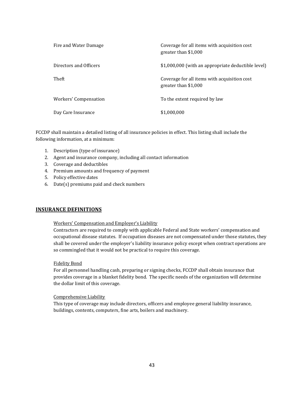| Fire and Water Damage  | Coverage for all items with acquisition cost<br>greater than \$1,000 |
|------------------------|----------------------------------------------------------------------|
| Directors and Officers | \$1,000,000 (with an appropriate deductible level)                   |
| Theft                  | Coverage for all items with acquisition cost<br>greater than \$1,000 |
| Workers' Compensation  | To the extent required by law                                        |
| Day Care Insurance     | \$1,000,000                                                          |

FCCDP shall maintain a detailed listing of all insurance policies in effect. This listing shall include the following information, at a minimum:

- 1. Description (type of insurance)
- 2. Agent and insurance company, including all contact information
- 3. Coverage and deductibles
- 4. Premium amounts and frequency of payment
- 5. Policy effective dates
- 6. Date(s) premiums paid and check numbers

#### **INSURANCE DEFINITIONS**

#### Workers' Compensation and Employer's Liability

Contractors are required to comply with applicable Federal and State workers' compensation and occupational disease statutes. If occupation diseases are not compensated under those statutes, they shall be covered under the employer's liability insurance policy except when contract operations are so commingled that it would not be practical to require this coverage.

#### Fidelity Bond

For all personnel handling cash, preparing or signing checks, FCCDP shall obtain insurance that provides coverage in a blanket fidelity bond. The specific needs of the organization will determine the dollar limit of this coverage.

#### Comprehensive Liability

This type of coverage may include directors, officers and employee general liability insurance, buildings, contents, computers, fine arts, boilers and machinery.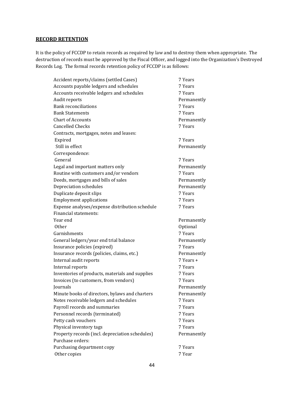## **RECORD RETENTION**

It is the policy of FCCDP to retain records as required by law and to destroy them when appropriate. The destruction of records must be approved by the Fiscal Officer, and logged into the Organization's Destroyed Records Log. The formal records retention policy of FCCDP is as follows:

| Accident reports/claims (settled Cases)         | 7 Years     |
|-------------------------------------------------|-------------|
| Accounts payable ledgers and schedules          | 7 Years     |
| Accounts receivable ledgers and schedules       | 7 Years     |
| Audit reports                                   | Permanently |
| <b>Bank reconciliations</b>                     | 7 Years     |
| <b>Bank Statements</b>                          | 7 Years     |
| <b>Chart of Accounts</b>                        | Permanently |
| <b>Cancelled Checks</b>                         | 7 Years     |
| Contracts, mortgages, notes and leases:         |             |
| Expired                                         | 7 Years     |
| Still in effect                                 | Permanently |
| Correspondence:                                 |             |
| General                                         | 7 Years     |
| Legal and important matters only                | Permanently |
| Routine with customers and/or vendors           | 7 Years     |
| Deeds, mortgages and bills of sales             | Permanently |
| Depreciation schedules                          | Permanently |
| Duplicate deposit slips                         | 7 Years     |
| <b>Employment applications</b>                  | 7 Years     |
| Expense analyses/expense distribution schedule  | 7 Years     |
| <b>Financial statements:</b>                    |             |
| Year end                                        | Permanently |
| <b>Other</b>                                    | Optional    |
| Garnishments                                    | 7 Years     |
| General ledgers/year end trial balance          | Permanently |
| Insurance policies (expired)                    | 7 Years     |
| Insurance records (policies, claims, etc.)      | Permanently |
| Internal audit reports                          | 7 Years +   |
| Internal reports                                | 7 Years     |
| Inventories of products, materials and supplies | 7 Years     |
| Invoices (to customers, from vendors)           | 7 Years     |
| Journals                                        | Permanently |
| Minute books of directors, bylaws and charters  | Permanently |
| Notes receivable ledgers and schedules          | 7 Years     |
| Payroll records and summaries                   | 7 Years     |
| Personnel records (terminated)                  | 7 Years     |
| Petty cash vouchers                             | 7 Years     |
| Physical inventory tags                         | 7 Years     |
| Property records (incl. depreciation schedules) | Permanently |
| Purchase orders:                                |             |
| Purchasing department copy                      | 7 Years     |
| Other copies                                    | 7 Year      |
|                                                 |             |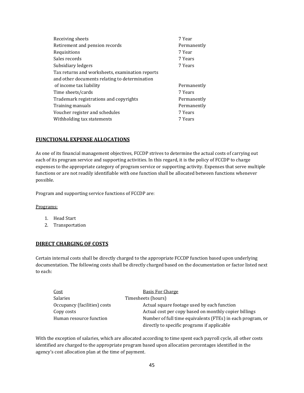| Receiving sheets                                | 7 Year      |
|-------------------------------------------------|-------------|
| Retirement and pension records                  | Permanently |
| Requisitions                                    | 7 Year      |
| Sales records                                   | 7 Years     |
| Subsidiary ledgers                              | 7 Years     |
| Tax returns and worksheets, examination reports |             |
| and other documents relating to determination   |             |
| of income tax liability                         | Permanently |
| Time sheets/cards                               | 7 Years     |
| Trademark registrations and copyrights          | Permanently |
| Training manuals                                | Permanently |
| Voucher register and schedules                  | 7 Years     |
| Withholding tax statements                      | 7 Years     |
|                                                 |             |

#### **FUNCTIONAL EXPENSE ALLOCATIONS**

As one of its financial management objectives, FCCDP strives to determine the actual costs of carrying out each of its program service and supporting activities. In this regard, it is the policy of FCCDP to charge expenses to the appropriate category of program service or supporting activity. Expenses that serve multiple functions or are not readily identifiable with one function shall be allocated between functions whenever possible.

Program and supporting service functions of FCCDP are:

#### Programs:

- 1. Head Start
- 2. Transportation

#### **DIRECT CHARGING OF COSTS**

Certain internal costs shall be directly charged to the appropriate FCCDP function based upon underlying documentation. The following costs shall be directly charged based on the documentation or factor listed next to each:

| Cost                         | <b>Basis For Charge</b>                                    |
|------------------------------|------------------------------------------------------------|
| Salaries                     | Timesheets (hours)                                         |
| Occupancy (facilities) costs | Actual square footage used by each function                |
| Copy costs                   | Actual cost per copy based on monthly copier billings      |
| Human resource function      | Number of full time equivalents (FTEs) in each program, or |
|                              | directly to specific programs if applicable                |

With the exception of salaries, which are allocated according to time spent each payroll cycle, all other costs identified are charged to the appropriate program based upon allocation percentages identified in the agency's cost allocation plan at the time of payment.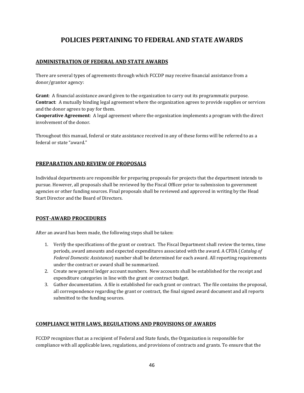## **POLICIES PERTAINING TO FEDERAL AND STATE AWARDS**

## **ADMINISTRATION OF FEDERAL AND STATE AWARDS**

There are several types of agreements through which FCCDP may receive financial assistance from a donor/grantor agency:

**Grant**: A financial assistance award given to the organization to carry out its programmatic purpose. **Contract**: A mutually binding legal agreement where the organization agrees to provide supplies or services and the donor agrees to pay for them.

**Cooperative Agreement**: A legal agreement where the organization implements a program with the direct involvement of the donor.

Throughout this manual, federal or state assistance received in any of these forms will be referred to as a federal or state "award."

## **PREPARATION AND REVIEW OF PROPOSALS**

Individual departments are responsible for preparing proposals for projects that the department intends to pursue. However, all proposals shall be reviewed by the Fiscal Officer prior to submission to government agencies or other funding sources. Final proposals shall be reviewed and approved in writing by the Head Start Director and the Board of Directors.

## **POST-AWARD PROCEDURES**

After an award has been made, the following steps shall be taken:

- 1. Verify the specifications of the grant or contract. The Fiscal Department shall review the terms, time periods, award amounts and expected expenditures associated with the award. A CFDA (*Catalog of Federal Domestic Assistance*) number shall be determined for each award. All reporting requirements under the contract or award shall be summarized.
- 2. Create new general ledger account numbers. New accounts shall be established for the receipt and expenditure categories in line with the grant or contract budget.
- 3. Gather documentation. A file is established for each grant or contract. The file contains the proposal, all correspondence regarding the grant or contract, the final signed award document and all reports submitted to the funding sources.

#### **COMPLIANCE WITH LAWS, REGULATIONS AND PROVISIONS OF AWARDS**

FCCDP recognizes that as a recipient of Federal and State funds, the Organization is responsible for compliance with all applicable laws, regulations, and provisions of contracts and grants. To ensure that the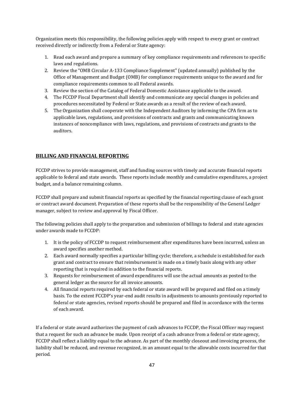Organization meets this responsibility, the following policies apply with respect to every grant or contract received directly or indirectly from a Federal or State agency:

- 1. Read each award and prepare a summary of key compliance requirements and references to specific laws and regulations.
- 2. Review the "OMB Circular A-133 Compliance Supplement" (updated annually) published by the Office of Management and Budget (OMB) for compliance requirements unique to the award and for compliance requirements common to all Federal awards.
- 3. Review the section of the Catalog of Federal Domestic Assistance applicable to the award.
- 4. The FCCDP Fiscal Department shall identify and communicate any special changes in policies and procedures necessitated by Federal or State awards as a result of the review of each award.
- 5. The Organization shall cooperate with the Independent Auditors by informing the CPA firm as to applicable laws, regulations, and provisions of contracts and grants and communicating known instances of noncompliance with laws, regulations, and provisions of contracts and grants to the auditors.

## **BILLING AND FINANCIAL REPORTING**

FCCDP strives to provide management, staff and funding sources with timely and accurate financial reports applicable to federal and state awards. These reports include monthly and cumulative expenditures, a project budget, and a balance remaining column.

FCCDP shall prepare and submit financial reports as specified by the financial reporting clause of each grant or contract award document. Preparation of these reports shall be the responsibility of the General Ledger manager, subject to review and approval by Fiscal Officer.

The following policies shall apply to the preparation and submission of billings to federal and state agencies under awards made to FCCDP:

- 1. It is the policy of FCCDP to request reimbursement after expenditures have been incurred, unless an award specifies another method.
- 2. Each award normally specifies a particular billing cycle; therefore, a schedule is established for each grant and contract to ensure that reimbursement is made on a timely basis along with any other reporting that is required in addition to the financial reports.
- 3. Requests for reimbursement of award expenditures will use the actual amounts as posted to the general ledger as the source for all invoice amounts.
- 4. All financial reports required by each federal or state award will be prepared and filed on a timely basis. To the extent FCCDP's year-end audit results in adjustments to amounts previously reported to federal or state agencies, revised reports should be prepared and filed in accordance with the terms of each award.

If a federal or state award authorizes the payment of cash advances to FCCDP, the Fiscal Officer may request that a request for such an advance be made. Upon receipt of a cash advance from a federal or state agency, FCCDP shall reflect a liability equal to the advance. As part of the monthly closeout and invoicing process, the liability shall be reduced, and revenue recognized, in an amount equal to the allowable costs incurred for that period.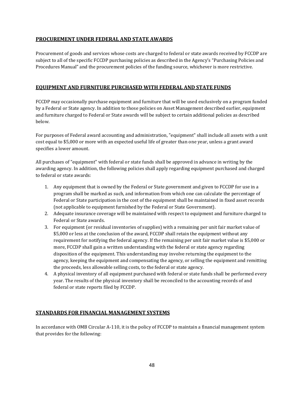## **PROCUREMENT UNDER FEDERAL AND STATE AWARDS**

Procurement of goods and services whose costs are charged to federal or state awards received by FCCDP are subject to all of the specific FCCDP purchasing policies as described in the Agency's "Purchasing Policies and Procedures Manual" and the procurement policies of the funding source, whichever is more restrictive.

## **EQUIPMENT AND FURNITURE PURCHASED WITH FEDERAL AND STATE FUNDS**

FCCDP may occasionally purchase equipment and furniture that will be used exclusively on a program funded by a Federal or State agency. In addition to those policies on Asset Management described earlier, equipment and furniture charged to Federal or State awards will be subject to certain additional policies as described below.

For purposes of Federal award accounting and administration, "equipment" shall include all assets with a unit cost equal to \$5,000 or more with an expected useful life of greater than one year, unless a grant award specifies a lower amount.

All purchases of "equipment" with federal or state funds shall be approved in advance in writing by the awarding agency. In addition, the following policies shall apply regarding equipment purchased and charged to federal or state awards:

- 1. Any equipment that is owned by the Federal or State government and given to FCCDP for use in a program shall be marked as such, and information from which one can calculate the percentage of Federal or State participation in the cost of the equipment shall be maintained in fixed asset records (not applicable to equipment furnished by the Federal or State Government).
- 2. Adequate insurance coverage will be maintained with respect to equipment and furniture charged to Federal or State awards.
- 3. For equipment (or residual inventories of supplies) with a remaining per unit fair market value of \$5,000 or less at the conclusion of the award, FCCDP shall retain the equipment without any requirement for notifying the federal agency. If the remaining per unit fair market value is \$5,000 or more, FCCDP shall gain a written understanding with the federal or state agency regarding disposition of the equipment. This understanding may involve returning the equipment to the agency, keeping the equipment and compensating the agency, or selling the equipment and remitting the proceeds, less allowable selling costs, to the federal or state agency.
- 4. A physical inventory of all equipment purchased with federal or state funds shall be performed every year. The results of the physical inventory shall be reconciled to the accounting records of and federal or state reports filed by FCCDP.

#### **STANDARDS FOR FINANCIAL MANAGEMENT SYSTEMS**

In accordance with OMB Circular A-110, it is the policy of FCCDP to maintain a financial management system that provides for the following: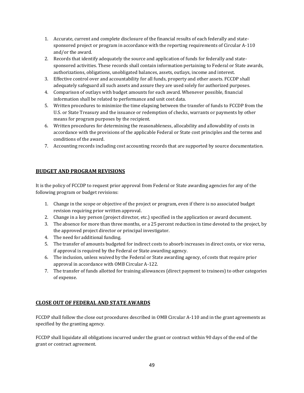- 1. Accurate, current and complete disclosure of the financial results of each federally and statesponsored project or program in accordance with the reporting requirements of Circular A-110 and/or the award.
- 2. Records that identify adequately the source and application of funds for federally and statesponsored activities. These records shall contain information pertaining to Federal or State awards, authorizations, obligations, unobligated balances, assets, outlays, income and interest.
- 3. Effective control over and accountability for all funds, property and other assets. FCCDP shall adequately safeguard all such assets and assure they are used solely for authorized purposes.
- 4. Comparison of outlays with budget amounts for each award. Whenever possible, financial information shall be related to performance and unit cost data.
- 5. Written procedures to minimize the time elapsing between the transfer of funds to FCCDP from the U.S. or State Treasury and the issuance or redemption of checks, warrants or payments by other means for program purposes by the recipient.
- 6. Written procedures for determining the reasonableness, allocability and allowability of costs in accordance with the provisions of the applicable Federal or State cost principles and the terms and conditions of the award.
- 7. Accounting records including cost accounting records that are supported by source documentation.

## **BUDGET AND PROGRAM REVISIONS**

It is the policy of FCCDP to request prior approval from Federal or State awarding agencies for any of the following program or budget revisions:

- 1. Change in the scope or objective of the project or program, even if there is no associated budget revision requiring prior written approval.
- 2. Change in a key person (project director, etc.) specified in the application or award document.
- 3. The absence for more than three months, or a 25 percent reduction in time devoted to the project, by the approved project director or principal investigator.
- 4. The need for additional funding.
- 5. The transfer of amounts budgeted for indirect costs to absorb increases in direct costs, or vice versa, if approval is required by the Federal or State awarding agency.
- 6. The inclusion, unless waived by the Federal or State awarding agency, of costs that require prior approval in accordance with OMB Circular A-122.
- 7. The transfer of funds allotted for training allowances (direct payment to trainees) to other categories of expense.

## **CLOSE OUT OF FEDERAL AND STATE AWARDS**

FCCDP shall follow the close out procedures described in OMB Circular A-110 and in the grant agreements as specified by the granting agency.

FCCDP shall liquidate all obligations incurred under the grant or contract within 90 days of the end of the grant or contract agreement.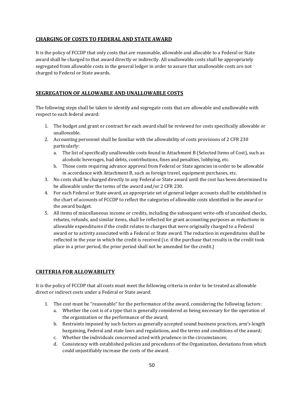## **CHARGING OF COSTS TO FEDERAL AND STATE AWARD**

It is the policy of FCCDP that only costs that are reasonable, allowable and allocable to a Federal or State award shall be charged to that award directly or indirectly. All unallowable costs shall be appropriately segregated from allowable costs in the general ledger in order to assure that unallowable costs are not charged to Federal or State awards.

## **SEGREGATION OF ALLOWABLE AND UNALLOWABLE COSTS**

The following steps shall be taken to identify and segregate costs that are allowable and unallowable with respect to each federal award:

- 1. The budget and grant or contract for each award shall be reviewed for costs specifically allowable or unallowable.
- 2. Accounting personnel shall be familiar with the allowability of costs provisions of 2 CFR 230 particularly:
	- a. The list of specifically unallowable costs found in Attachment B (Selected Items of Cost), such as alcoholic beverages, bad debts, contributions, fines and penalties, lobbying, etc.
	- b. Those costs requiring advance approval from Federal or State agencies in order to be allowable in accordance with Attachment B, such as foreign travel, equipment purchases, etc.
- 3. No costs shall be charged directly to any Federal or State award until the cost has been determined to be allowable under the terms of the award and/or 2 CFR 230.
- 4. For each Federal or State award, an appropriate set of general ledger accounts shall be established in the chart of accounts of FCCDP to reflect the categories of allowable costs identified in the award or the award budget.
- 5. All items of miscellaneous income or credits, including the subsequent write-offs of uncashed checks, rebates, refunds, and similar items, shall be reflected for grant accounting purposes as reductions in allowable expenditures if the credit relates to charges that were originally charged to a Federal award or to activity associated with a Federal or State award. The reduction in expenditures shall be reflected in the year in which the credit is received (i.e. if the purchase that results in the credit took place in a prior period, the prior period shall not be amended for the credit.)

## **CRITERIA FOR ALLOWABILITY**

It is the policy of FCCDP that all costs must meet the following criteria in order to be treated as allowable direct or indirect costs under a Federal or State award:

- 1. The cost must be "reasonable" for the performance of the award, considering the following factors:
	- a. Whether the cost is of a type that is generally considered as being necessary for the operation of the organization or the performance of the award;
	- b. Restraints imposed by such factors as generally accepted sound business practices, arm's length bargaining, Federal and state laws and regulations, and the terms and conditions of the award;
	- c. Whether the individuals concerned acted with prudence in the circumstances;
	- d. Consistency with established policies and procedures of the Organization, deviations from which could unjustifiably increase the costs of the award.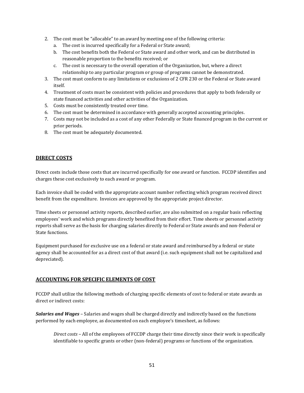- 2. The cost must be "allocable" to an award by meeting one of the following criteria:
	- a. The cost is incurred specifically for a Federal or State award;
	- b. The cost benefits both the Federal or State award and other work, and can be distributed in reasonable proportion to the benefits received; or
	- c. The cost is necessary to the overall operation of the Organization, but, where a direct relationship to any particular program or group of programs cannot be demonstrated.
- 3. The cost must conform to any limitations or exclusions of 2 CFR 230 or the Federal or State award itself.
- 4. Treatment of costs must be consistent with policies and procedures that apply to both federally or state financed activities and other activities of the Organization.
- 5. Costs must be consistently treated over time.
- 6. The cost must be determined in accordance with generally accepted accounting principles.
- 7. Costs may not be included as a cost of any other Federally or State financed program in the current or prior periods.
- 8. The cost must be adequately documented.

#### **DIRECT COSTS**

Direct costs include those costs that are incurred specifically for one award or function. FCCDP identifies and charges these cost exclusively to each award or program.

Each invoice shall be coded with the appropriate account number reflecting which program received direct benefit from the expenditure. Invoices are approved by the appropriate project director.

Time sheets or personnel activity reports, described earlier, are also submitted on a regular basis reflecting employees' work and which programs directly benefited from their effort. Time sheets or personnel activity reports shall serve as the basis for charging salaries directly to Federal or State awards and non-Federal or State functions.

Equipment purchased for exclusive use on a federal or state award and reimbursed by a federal or state agency shall be accounted for as a direct cost of that award (i.e. such equipment shall not be capitalized and depreciated).

#### **ACCOUNTING FOR SPECIFIC ELEMENTS OF COST**

FCCDP shall utilize the following methods of charging specific elements of cost to federal or state awards as direct or indirect costs:

*Salaries and Wages* – Salaries and wages shall be charged directly and indirectly based on the functions performed by each employee, as documented on each employee's timesheet, as follows:

*Direct costs* – All of the employees of FCCDP charge their time directly since their work is specifically identifiable to specific grants or other (non-federal) programs or functions of the organization.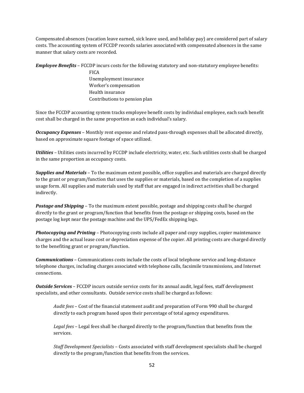Compensated absences (vacation leave earned, sick leave used, and holiday pay) are considered part of salary costs. The accounting system of FCCDP records salaries associated with compensated absences in the same manner that salary costs are recorded.

*Employee Benefits* – FCCDP incurs costs for the following statutory and non-statutory employee benefits:

FICA Unemployment insurance Worker's compensation Health insurance Contributions to pension plan

Since the FCCDP accounting system tracks employee benefit costs by individual employee, each such benefit cost shall be charged in the same proportion as each individual's salary.

*Occupancy Expenses* – Monthly rent expense and related pass-through expenses shall be allocated directly, based on approximate square footage of space utilized.

*Utilities* – Utilities costs incurred by FCCDP include electricity, water, etc. Such utilities costs shall be charged in the same proportion as occupancy costs.

*Supplies and Materials* – To the maximum extent possible, office supplies and materials are charged directly to the grant or program/function that uses the supplies or materials, based on the completion of a supplies usage form. All supplies and materials used by staff that are engaged in indirect activities shall be charged indirectly.

*Postage and Shipping* – To the maximum extent possible, postage and shipping costs shall be charged directly to the grant or program/function that benefits from the postage or shipping costs, based on the postage log kept near the postage machine and the UPS/FedEx shipping logs.

*Photocopying and Printing* – Photocopying costs include all paper and copy supplies, copier maintenance charges and the actual lease cost or depreciation expense of the copier. All printing costs are charged directly to the benefiting grant or program/function.

*Communications* – Communications costs include the costs of local telephone service and long-distance telephone charges, including charges associated with telephone calls, facsimile transmissions, and Internet connections.

*Outside Services* – FCCDP incurs outside service costs for its annual audit, legal fees, staff development specialists, and other consultants. Outside service costs shall be charged as follows:

*Audit fees* – Cost of the financial statement audit and preparation of Form 990 shall be charged directly to each program based upon their percentage of total agency expenditures.

*Legal fees* – Legal fees shall be charged directly to the program/function that benefits from the services.

*Staff Development Specialists* – Costs associated with staff development specialists shall be charged directly to the program/function that benefits from the services.